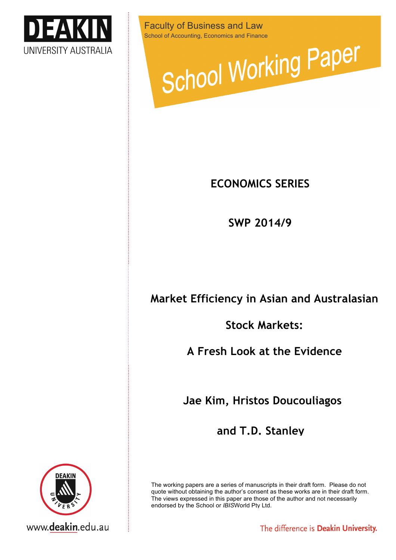

Faculty of Business and Law



# **ECONOMICS SERIES**

**SWP 2014/9**

# **Market Efficiency in Asian and Australasian**

**Stock Markets:** 

**A Fresh Look at the Evidence**

**Jae Kim, Hristos Doucouliagos** 

**and T.D. Stanley**

The working papers are a series of manuscripts in their draft form. Please do not quote without obtaining the author's consent as these works are in their draft form. The views expressed in this paper are those of the author and not necessarily endorsed by the School or *IBIS*World Pty Ltd.



The difference is Deakin University.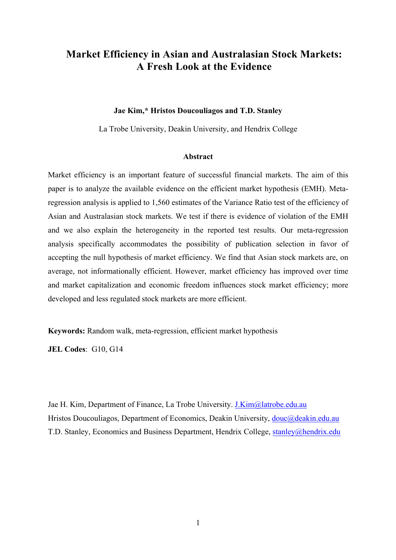# **Market Efficiency in Asian and Australasian Stock Markets: A Fresh Look at the Evidence**

#### **Jae Kim,\* Hristos Doucouliagos and T.D. Stanley**

La Trobe University, Deakin University, and Hendrix College

#### **Abstract**

Market efficiency is an important feature of successful financial markets. The aim of this paper is to analyze the available evidence on the efficient market hypothesis (EMH). Metaregression analysis is applied to 1,560 estimates of the Variance Ratio test of the efficiency of Asian and Australasian stock markets. We test if there is evidence of violation of the EMH and we also explain the heterogeneity in the reported test results. Our meta-regression analysis specifically accommodates the possibility of publication selection in favor of accepting the null hypothesis of market efficiency. We find that Asian stock markets are, on average, not informationally efficient. However, market efficiency has improved over time and market capitalization and economic freedom influences stock market efficiency; more developed and less regulated stock markets are more efficient.

**Keywords:** Random walk, meta-regression, efficient market hypothesis

**JEL Codes**: G10, G14

Jae H. Kim, Department of Finance, La Trobe University. J. Kim@latrobe.edu.au Hristos Doucouliagos, Department of Economics, Deakin University, douc@deakin.edu.au T.D. Stanley, Economics and Business Department, Hendrix College, stanley@hendrix.edu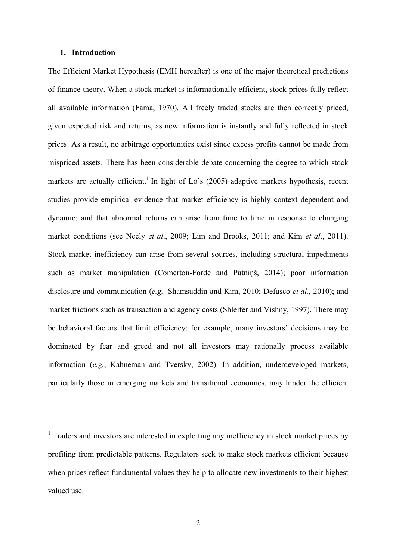#### **1. Introduction**

The Efficient Market Hypothesis (EMH hereafter) is one of the major theoretical predictions of finance theory. When a stock market is informationally efficient, stock prices fully reflect all available information (Fama, 1970). All freely traded stocks are then correctly priced, given expected risk and returns, as new information is instantly and fully reflected in stock prices. As a result, no arbitrage opportunities exist since excess profits cannot be made from mispriced assets. There has been considerable debate concerning the degree to which stock markets are actually efficient.<sup>1</sup> In light of Lo's (2005) adaptive markets hypothesis, recent studies provide empirical evidence that market efficiency is highly context dependent and dynamic; and that abnormal returns can arise from time to time in response to changing market conditions (see Neely *et al*., 2009; Lim and Brooks, 2011; and Kim *et al*., 2011). Stock market inefficiency can arise from several sources, including structural impediments such as market manipulation (Comerton-Forde and Putniņš, 2014); poor information disclosure and communication (*e.g.,* Shamsuddin and Kim, 2010; Defusco *et al.,* 2010); and market frictions such as transaction and agency costs (Shleifer and Vishny, 1997). There may be behavioral factors that limit efficiency: for example, many investors' decisions may be dominated by fear and greed and not all investors may rationally process available information (*e.g.*, Kahneman and Tversky, 2002). In addition, underdeveloped markets, particularly those in emerging markets and transitional economies, may hinder the efficient

<sup>&</sup>lt;sup>1</sup> Traders and investors are interested in exploiting any inefficiency in stock market prices by profiting from predictable patterns. Regulators seek to make stock markets efficient because when prices reflect fundamental values they help to allocate new investments to their highest valued use.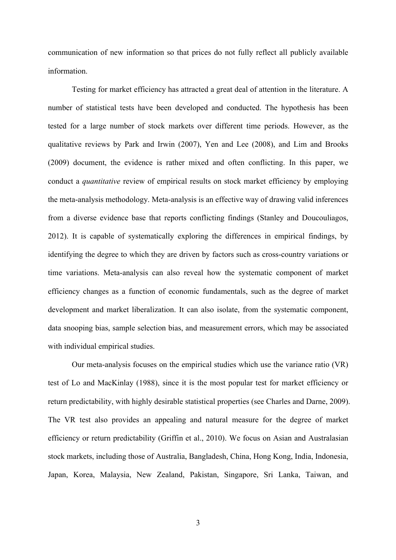communication of new information so that prices do not fully reflect all publicly available information.

Testing for market efficiency has attracted a great deal of attention in the literature. A number of statistical tests have been developed and conducted. The hypothesis has been tested for a large number of stock markets over different time periods. However, as the qualitative reviews by Park and Irwin (2007), Yen and Lee (2008), and Lim and Brooks (2009) document, the evidence is rather mixed and often conflicting. In this paper, we conduct a *quantitative* review of empirical results on stock market efficiency by employing the meta-analysis methodology. Meta-analysis is an effective way of drawing valid inferences from a diverse evidence base that reports conflicting findings (Stanley and Doucouliagos, 2012). It is capable of systematically exploring the differences in empirical findings, by identifying the degree to which they are driven by factors such as cross-country variations or time variations. Meta-analysis can also reveal how the systematic component of market efficiency changes as a function of economic fundamentals, such as the degree of market development and market liberalization. It can also isolate, from the systematic component, data snooping bias, sample selection bias, and measurement errors, which may be associated with individual empirical studies.

Our meta-analysis focuses on the empirical studies which use the variance ratio (VR) test of Lo and MacKinlay (1988), since it is the most popular test for market efficiency or return predictability, with highly desirable statistical properties (see Charles and Darne, 2009). The VR test also provides an appealing and natural measure for the degree of market efficiency or return predictability (Griffin et al., 2010). We focus on Asian and Australasian stock markets, including those of Australia, Bangladesh, China, Hong Kong, India, Indonesia, Japan, Korea, Malaysia, New Zealand, Pakistan, Singapore, Sri Lanka, Taiwan, and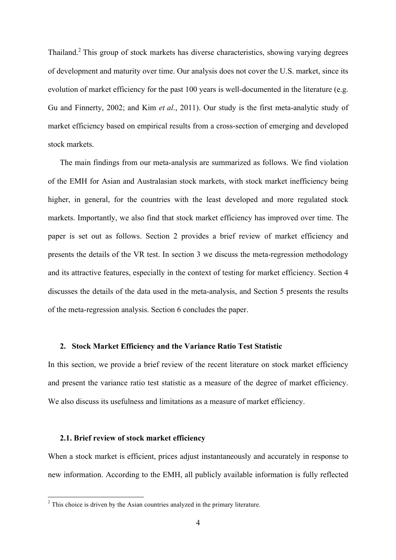Thailand.2 This group of stock markets has diverse characteristics, showing varying degrees of development and maturity over time. Our analysis does not cover the U.S. market, since its evolution of market efficiency for the past 100 years is well-documented in the literature (e.g. Gu and Finnerty, 2002; and Kim *et al*., 2011). Our study is the first meta-analytic study of market efficiency based on empirical results from a cross-section of emerging and developed stock markets.

The main findings from our meta-analysis are summarized as follows. We find violation of the EMH for Asian and Australasian stock markets, with stock market inefficiency being higher, in general, for the countries with the least developed and more regulated stock markets. Importantly, we also find that stock market efficiency has improved over time. The paper is set out as follows. Section 2 provides a brief review of market efficiency and presents the details of the VR test. In section 3 we discuss the meta-regression methodology and its attractive features, especially in the context of testing for market efficiency. Section 4 discusses the details of the data used in the meta-analysis, and Section 5 presents the results of the meta-regression analysis. Section 6 concludes the paper.

#### **2. Stock Market Efficiency and the Variance Ratio Test Statistic**

In this section, we provide a brief review of the recent literature on stock market efficiency and present the variance ratio test statistic as a measure of the degree of market efficiency. We also discuss its usefulness and limitations as a measure of market efficiency.

#### **2.1. Brief review of stock market efficiency**

When a stock market is efficient, prices adjust instantaneously and accurately in response to new information. According to the EMH, all publicly available information is fully reflected

<sup>&</sup>lt;sup>2</sup> This choice is driven by the Asian countries analyzed in the primary literature.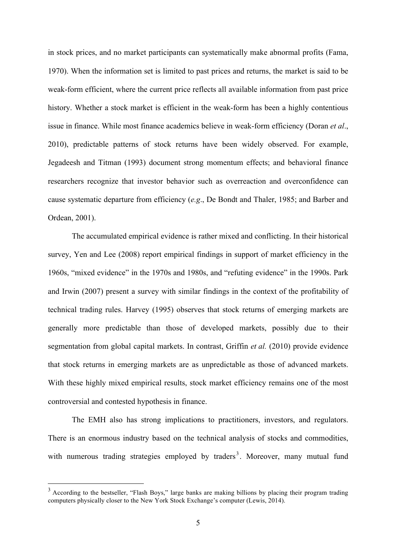in stock prices, and no market participants can systematically make abnormal profits (Fama, 1970). When the information set is limited to past prices and returns, the market is said to be weak-form efficient, where the current price reflects all available information from past price history. Whether a stock market is efficient in the weak-form has been a highly contentious issue in finance. While most finance academics believe in weak-form efficiency (Doran *et al*., 2010), predictable patterns of stock returns have been widely observed. For example, Jegadeesh and Titman (1993) document strong momentum effects; and behavioral finance researchers recognize that investor behavior such as overreaction and overconfidence can cause systematic departure from efficiency (*e.g*., De Bondt and Thaler, 1985; and Barber and Ordean, 2001).

The accumulated empirical evidence is rather mixed and conflicting. In their historical survey, Yen and Lee (2008) report empirical findings in support of market efficiency in the 1960s, "mixed evidence" in the 1970s and 1980s, and "refuting evidence" in the 1990s. Park and Irwin (2007) present a survey with similar findings in the context of the profitability of technical trading rules. Harvey (1995) observes that stock returns of emerging markets are generally more predictable than those of developed markets, possibly due to their segmentation from global capital markets. In contrast, Griffin *et al.* (2010) provide evidence that stock returns in emerging markets are as unpredictable as those of advanced markets. With these highly mixed empirical results, stock market efficiency remains one of the most controversial and contested hypothesis in finance.

The EMH also has strong implications to practitioners, investors, and regulators. There is an enormous industry based on the technical analysis of stocks and commodities, with numerous trading strategies employed by traders<sup>3</sup>. Moreover, many mutual fund

<sup>&</sup>lt;sup>3</sup> According to the bestseller, "Flash Boys," large banks are making billions by placing their program trading computers physically closer to the New York Stock Exchange's computer (Lewis, 2014).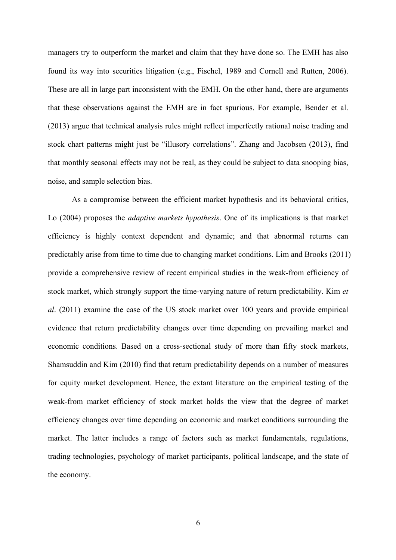managers try to outperform the market and claim that they have done so. The EMH has also found its way into securities litigation (e.g., Fischel, 1989 and Cornell and Rutten, 2006). These are all in large part inconsistent with the EMH. On the other hand, there are arguments that these observations against the EMH are in fact spurious. For example, Bender et al. (2013) argue that technical analysis rules might reflect imperfectly rational noise trading and stock chart patterns might just be "illusory correlations". Zhang and Jacobsen (2013), find that monthly seasonal effects may not be real, as they could be subject to data snooping bias, noise, and sample selection bias.

As a compromise between the efficient market hypothesis and its behavioral critics, Lo (2004) proposes the *adaptive markets hypothesis*. One of its implications is that market efficiency is highly context dependent and dynamic; and that abnormal returns can predictably arise from time to time due to changing market conditions. Lim and Brooks (2011) provide a comprehensive review of recent empirical studies in the weak-from efficiency of stock market, which strongly support the time-varying nature of return predictability. Kim *et al*. (2011) examine the case of the US stock market over 100 years and provide empirical evidence that return predictability changes over time depending on prevailing market and economic conditions. Based on a cross-sectional study of more than fifty stock markets, Shamsuddin and Kim (2010) find that return predictability depends on a number of measures for equity market development. Hence, the extant literature on the empirical testing of the weak-from market efficiency of stock market holds the view that the degree of market efficiency changes over time depending on economic and market conditions surrounding the market. The latter includes a range of factors such as market fundamentals, regulations, trading technologies, psychology of market participants, political landscape, and the state of the economy.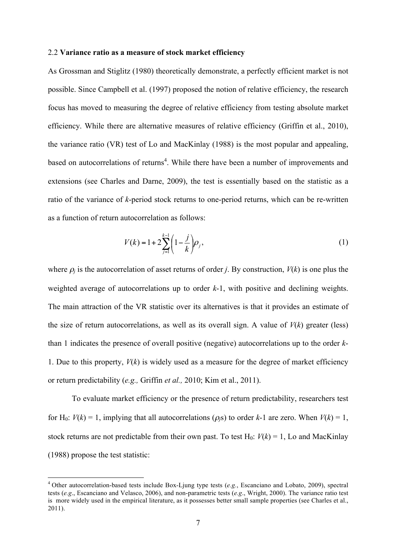#### 2.2 **Variance ratio as a measure of stock market efficiency**

As Grossman and Stiglitz (1980) theoretically demonstrate, a perfectly efficient market is not possible. Since Campbell et al. (1997) proposed the notion of relative efficiency, the research focus has moved to measuring the degree of relative efficiency from testing absolute market efficiency. While there are alternative measures of relative efficiency (Griffin et al., 2010), the variance ratio (VR) test of Lo and MacKinlay (1988) is the most popular and appealing, based on autocorrelations of returns<sup>4</sup>. While there have been a number of improvements and extensions (see Charles and Darne, 2009), the test is essentially based on the statistic as a ratio of the variance of *k*-period stock returns to one-period returns, which can be re-written as a function of return autocorrelation as follows:

$$
V(k) = 1 + 2\sum_{j=1}^{k-1} \left(1 - \frac{j}{k}\right)\rho_j,\tag{1}
$$

where  $\rho_i$  is the autocorrelation of asset returns of order *j*. By construction,  $V(k)$  is one plus the weighted average of autocorrelations up to order *k*-1, with positive and declining weights. The main attraction of the VR statistic over its alternatives is that it provides an estimate of the size of return autocorrelations, as well as its overall sign. A value of  $V(k)$  greater (less) than 1 indicates the presence of overall positive (negative) autocorrelations up to the order *k*-1. Due to this property, *V*(*k*) is widely used as a measure for the degree of market efficiency or return predictability (*e.g.,* Griffin *et al.,* 2010; Kim et al., 2011).

To evaluate market efficiency or the presence of return predictability, researchers test for H<sub>0</sub>:  $V(k) = 1$ , implying that all autocorrelations ( $\rho_i$ s) to order  $k$ -1 are zero. When  $V(k) = 1$ , stock returns are not predictable from their own past. To test  $H_0$ :  $V(k) = 1$ , Lo and MacKinlay (1988) propose the test statistic:

 <sup>4</sup> Other autocorrelation-based tests include Box-Ljung type tests (*e.g.*, Escanciano and Lobato, 2009), spectral tests (*e.g*., Escanciano and Velasco, 2006), and non-parametric tests (*e.g*., Wright, 2000). The variance ratio test is more widely used in the empirical literature, as it possesses better small sample properties (see Charles et al., 2011).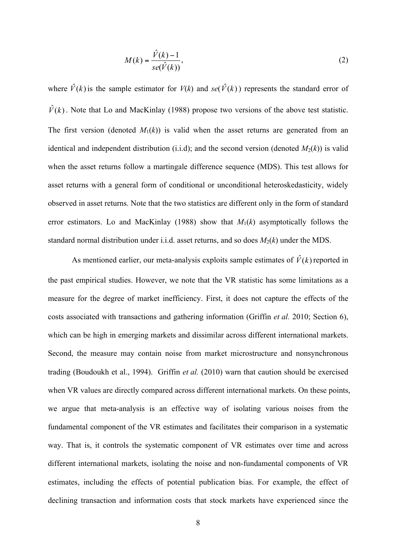$$
M(k) = \frac{\hat{V}(k) - 1}{se(\hat{V}(k))},\tag{2}
$$

where  $\hat{V}(k)$  is the sample estimator for  $V(k)$  and  $se(\hat{V}(k))$  represents the standard error of  $\hat{V}(k)$ . Note that Lo and MacKinlay (1988) propose two versions of the above test statistic. The first version (denoted  $M_1(k)$ ) is valid when the asset returns are generated from an identical and independent distribution (i.i.d); and the second version (denoted  $M_2(k)$ ) is valid when the asset returns follow a martingale difference sequence (MDS). This test allows for asset returns with a general form of conditional or unconditional heteroskedasticity, widely observed in asset returns. Note that the two statistics are different only in the form of standard error estimators. Lo and MacKinlay (1988) show that  $M_1(k)$  asymptotically follows the standard normal distribution under i.i.d. asset returns, and so does  $M_2(k)$  under the MDS.

As mentioned earlier, our meta-analysis exploits sample estimates of  $\hat{V}(k)$  reported in the past empirical studies. However, we note that the VR statistic has some limitations as a measure for the degree of market inefficiency. First, it does not capture the effects of the costs associated with transactions and gathering information (Griffin *et al.* 2010; Section 6), which can be high in emerging markets and dissimilar across different international markets. Second, the measure may contain noise from market microstructure and nonsynchronous trading (Boudoukh et al., 1994). Griffin *et al.* (2010) warn that caution should be exercised when VR values are directly compared across different international markets. On these points, we argue that meta-analysis is an effective way of isolating various noises from the fundamental component of the VR estimates and facilitates their comparison in a systematic way. That is, it controls the systematic component of VR estimates over time and across different international markets, isolating the noise and non-fundamental components of VR estimates, including the effects of potential publication bias. For example, the effect of declining transaction and information costs that stock markets have experienced since the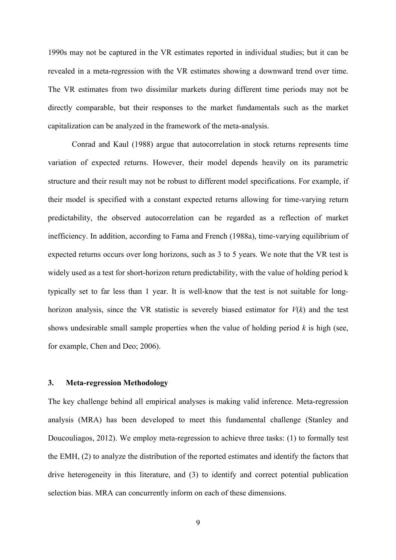1990s may not be captured in the VR estimates reported in individual studies; but it can be revealed in a meta-regression with the VR estimates showing a downward trend over time. The VR estimates from two dissimilar markets during different time periods may not be directly comparable, but their responses to the market fundamentals such as the market capitalization can be analyzed in the framework of the meta-analysis.

Conrad and Kaul (1988) argue that autocorrelation in stock returns represents time variation of expected returns. However, their model depends heavily on its parametric structure and their result may not be robust to different model specifications. For example, if their model is specified with a constant expected returns allowing for time-varying return predictability, the observed autocorrelation can be regarded as a reflection of market inefficiency. In addition, according to Fama and French (1988a), time-varying equilibrium of expected returns occurs over long horizons, such as 3 to 5 years. We note that the VR test is widely used as a test for short-horizon return predictability, with the value of holding period k typically set to far less than 1 year. It is well-know that the test is not suitable for longhorizon analysis, since the VR statistic is severely biased estimator for *V*(*k*) and the test shows undesirable small sample properties when the value of holding period *k* is high (see, for example, Chen and Deo; 2006).

#### **3. Meta-regression Methodology**

The key challenge behind all empirical analyses is making valid inference. Meta-regression analysis (MRA) has been developed to meet this fundamental challenge (Stanley and Doucouliagos, 2012). We employ meta-regression to achieve three tasks: (1) to formally test the EMH, (2) to analyze the distribution of the reported estimates and identify the factors that drive heterogeneity in this literature, and (3) to identify and correct potential publication selection bias. MRA can concurrently inform on each of these dimensions.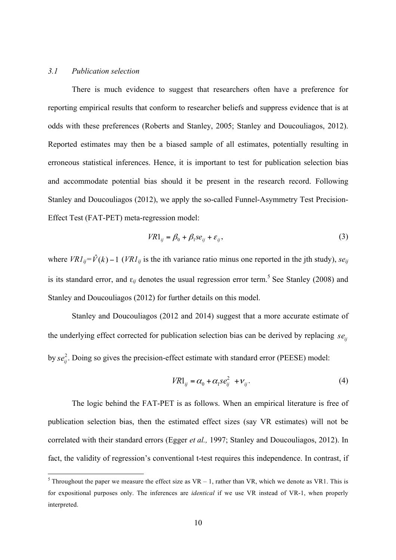#### *3.1 Publication selection*

There is much evidence to suggest that researchers often have a preference for reporting empirical results that conform to researcher beliefs and suppress evidence that is at odds with these preferences (Roberts and Stanley, 2005; Stanley and Doucouliagos, 2012). Reported estimates may then be a biased sample of all estimates, potentially resulting in erroneous statistical inferences. Hence, it is important to test for publication selection bias and accommodate potential bias should it be present in the research record. Following Stanley and Doucouliagos (2012), we apply the so-called Funnel-Asymmetry Test Precision-Effect Test (FAT-PET) meta-regression model:

$$
VRI_{ij} = \beta_0 + \beta_1 s e_{ij} + \varepsilon_{ij},\tag{3}
$$

where  $VRI_{ij} = \hat{V}(k) - 1$  (*VR1<sub>ij</sub>* is the ith variance ratio minus one reported in the jth study), *se<sub>ij</sub>* is its standard error, and  $\varepsilon_{ij}$  denotes the usual regression error term.<sup>5</sup> See Stanley (2008) and Stanley and Doucouliagos (2012) for further details on this model.

Stanley and Doucouliagos (2012 and 2014) suggest that a more accurate estimate of the underlying effect corrected for publication selection bias can be derived by replacing  $se<sub>ii</sub>$ by  $se_{ij}^2$ . Doing so gives the precision-effect estimate with standard error (PEESE) model:

$$
VRI_{ij} = \alpha_0 + \alpha_1 s e_{ij}^2 + v_{ij}.
$$
 (4)

The logic behind the FAT-PET is as follows. When an empirical literature is free of publication selection bias, then the estimated effect sizes (say VR estimates) will not be correlated with their standard errors (Egger *et al.,* 1997; Stanley and Doucouliagos, 2012). In fact, the validity of regression's conventional t-test requires this independence. In contrast, if

<sup>&</sup>lt;sup>5</sup> Throughout the paper we measure the effect size as  $VR - 1$ , rather than VR, which we denote as VR1. This is for expositional purposes only. The inferences are *identical* if we use VR instead of VR-1, when properly interpreted.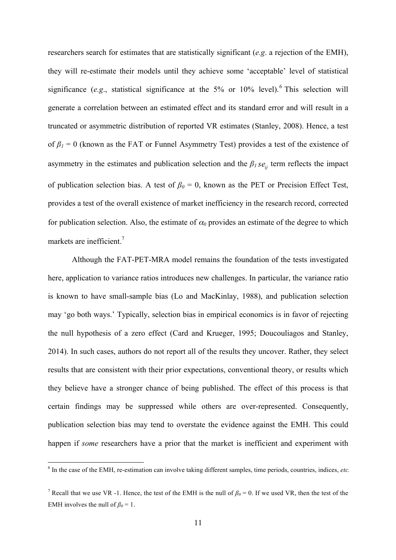researchers search for estimates that are statistically significant (*e.g*. a rejection of the EMH), they will re-estimate their models until they achieve some 'acceptable' level of statistical significance (*e.g.*, statistical significance at the  $5\%$  or  $10\%$  level).<sup>6</sup> This selection will generate a correlation between an estimated effect and its standard error and will result in a truncated or asymmetric distribution of reported VR estimates (Stanley, 2008). Hence, a test of  $\beta_l$  = 0 (known as the FAT or Funnel Asymmetry Test) provides a test of the existence of asymmetry in the estimates and publication selection and the  $\beta_I s e_{ij}$  term reflects the impact of publication selection bias. A test of  $\beta_0 = 0$ , known as the PET or Precision Effect Test, provides a test of the overall existence of market inefficiency in the research record, corrected for publication selection. Also, the estimate of  $\alpha_0$  provides an estimate of the degree to which markets are inefficient.<sup>7</sup>

Although the FAT-PET-MRA model remains the foundation of the tests investigated here, application to variance ratios introduces new challenges. In particular, the variance ratio is known to have small-sample bias (Lo and MacKinlay, 1988), and publication selection may 'go both ways.' Typically, selection bias in empirical economics is in favor of rejecting the null hypothesis of a zero effect (Card and Krueger, 1995; Doucouliagos and Stanley, 2014). In such cases, authors do not report all of the results they uncover. Rather, they select results that are consistent with their prior expectations, conventional theory, or results which they believe have a stronger chance of being published. The effect of this process is that certain findings may be suppressed while others are over-represented. Consequently, publication selection bias may tend to overstate the evidence against the EMH. This could happen if *some* researchers have a prior that the market is inefficient and experiment with

 <sup>6</sup> In the case of the EMH, re-estimation can involve taking different samples, time periods, countries, indices, *etc.*

<sup>&</sup>lt;sup>7</sup> Recall that we use VR -1. Hence, the test of the EMH is the null of  $\beta_0 = 0$ . If we used VR, then the test of the EMH involves the null of  $\beta_0 = 1$ .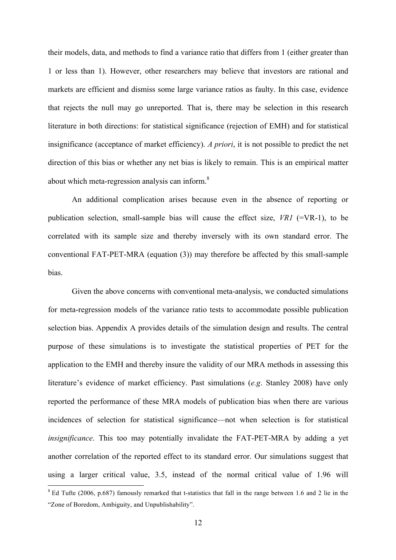their models, data, and methods to find a variance ratio that differs from 1 (either greater than 1 or less than 1). However, other researchers may believe that investors are rational and markets are efficient and dismiss some large variance ratios as faulty. In this case, evidence that rejects the null may go unreported. That is, there may be selection in this research literature in both directions: for statistical significance (rejection of EMH) and for statistical insignificance (acceptance of market efficiency). *A priori*, it is not possible to predict the net direction of this bias or whether any net bias is likely to remain. This is an empirical matter about which meta-regression analysis can inform.<sup>8</sup>

An additional complication arises because even in the absence of reporting or publication selection, small-sample bias will cause the effect size, *VR1* (=VR-1), to be correlated with its sample size and thereby inversely with its own standard error. The conventional FAT-PET-MRA (equation (3)) may therefore be affected by this small-sample bias.

Given the above concerns with conventional meta-analysis, we conducted simulations for meta-regression models of the variance ratio tests to accommodate possible publication selection bias. Appendix A provides details of the simulation design and results. The central purpose of these simulations is to investigate the statistical properties of PET for the application to the EMH and thereby insure the validity of our MRA methods in assessing this literature's evidence of market efficiency. Past simulations (*e.g*. Stanley 2008) have only reported the performance of these MRA models of publication bias when there are various incidences of selection for statistical significance—not when selection is for statistical *insignificance*. This too may potentially invalidate the FAT-PET-MRA by adding a yet another correlation of the reported effect to its standard error. Our simulations suggest that using a larger critical value, 3.5, instead of the normal critical value of 1.96 will

 $8$  Ed Tufte (2006, p.687) famously remarked that t-statistics that fall in the range between 1.6 and 2 lie in the "Zone of Boredom, Ambiguity, and Unpublishability".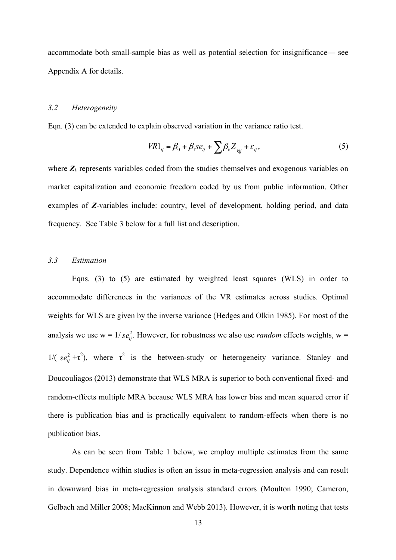accommodate both small-sample bias as well as potential selection for insignificance— see Appendix A for details.

#### *3.2 Heterogeneity*

Eqn. (3) can be extended to explain observed variation in the variance ratio test.

$$
VRI_{ij} = \beta_0 + \beta_1 s e_{ij} + \sum \beta_k Z_{kij} + \varepsilon_{ij},
$$
\n<sup>(5)</sup>

where  $Z_k$  represents variables coded from the studies themselves and exogenous variables on market capitalization and economic freedom coded by us from public information. Other examples of *Z*-variables include: country, level of development, holding period, and data frequency. See Table 3 below for a full list and description.

#### *3.3 Estimation*

Eqns. (3) to (5) are estimated by weighted least squares (WLS) in order to accommodate differences in the variances of the VR estimates across studies. Optimal weights for WLS are given by the inverse variance (Hedges and Olkin 1985). For most of the analysis we use  $w = 1/s e_{ij}^2$ . However, for robustness we also use *random* effects weights,  $w =$ 1/(  $se^{2}_{ij} + \tau^{2}$ ), where  $\tau^{2}$  is the between-study or heterogeneity variance. Stanley and Doucouliagos (2013) demonstrate that WLS MRA is superior to both conventional fixed- and random-effects multiple MRA because WLS MRA has lower bias and mean squared error if there is publication bias and is practically equivalent to random-effects when there is no publication bias.

As can be seen from Table 1 below, we employ multiple estimates from the same study. Dependence within studies is often an issue in meta-regression analysis and can result in downward bias in meta-regression analysis standard errors (Moulton 1990; Cameron, Gelbach and Miller 2008; MacKinnon and Webb 2013). However, it is worth noting that tests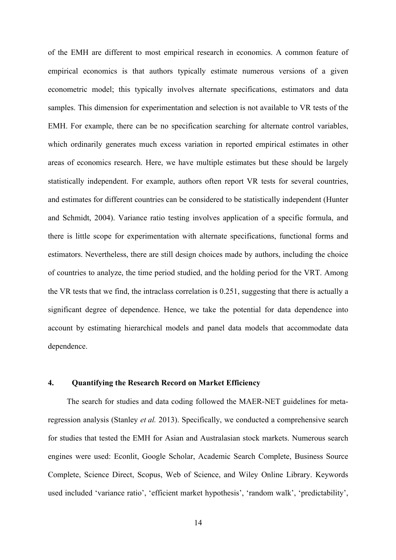of the EMH are different to most empirical research in economics. A common feature of empirical economics is that authors typically estimate numerous versions of a given econometric model; this typically involves alternate specifications, estimators and data samples. This dimension for experimentation and selection is not available to VR tests of the EMH. For example, there can be no specification searching for alternate control variables, which ordinarily generates much excess variation in reported empirical estimates in other areas of economics research. Here, we have multiple estimates but these should be largely statistically independent. For example, authors often report VR tests for several countries, and estimates for different countries can be considered to be statistically independent (Hunter and Schmidt, 2004). Variance ratio testing involves application of a specific formula, and there is little scope for experimentation with alternate specifications, functional forms and estimators. Nevertheless, there are still design choices made by authors, including the choice of countries to analyze, the time period studied, and the holding period for the VRT. Among the VR tests that we find, the intraclass correlation is 0.251, suggesting that there is actually a significant degree of dependence. Hence, we take the potential for data dependence into account by estimating hierarchical models and panel data models that accommodate data dependence.

### **4. Quantifying the Research Record on Market Efficiency**

The search for studies and data coding followed the MAER-NET guidelines for metaregression analysis (Stanley *et al.* 2013). Specifically, we conducted a comprehensive search for studies that tested the EMH for Asian and Australasian stock markets. Numerous search engines were used: Econlit, Google Scholar, Academic Search Complete, Business Source Complete, Science Direct, Scopus, Web of Science, and Wiley Online Library. Keywords used included 'variance ratio', 'efficient market hypothesis', 'random walk', 'predictability',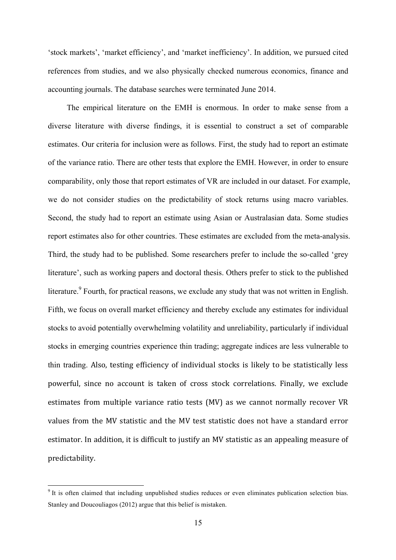'stock markets', 'market efficiency', and 'market inefficiency'. In addition, we pursued cited references from studies, and we also physically checked numerous economics, finance and accounting journals. The database searches were terminated June 2014.

The empirical literature on the EMH is enormous. In order to make sense from a diverse literature with diverse findings, it is essential to construct a set of comparable estimates. Our criteria for inclusion were as follows. First, the study had to report an estimate of the variance ratio. There are other tests that explore the EMH. However, in order to ensure comparability, only those that report estimates of VR are included in our dataset. For example, we do not consider studies on the predictability of stock returns using macro variables. Second, the study had to report an estimate using Asian or Australasian data. Some studies report estimates also for other countries. These estimates are excluded from the meta-analysis. Third, the study had to be published. Some researchers prefer to include the so-called 'grey literature', such as working papers and doctoral thesis. Others prefer to stick to the published literature.<sup>9</sup> Fourth, for practical reasons, we exclude any study that was not written in English. Fifth, we focus on overall market efficiency and thereby exclude any estimates for individual stocks to avoid potentially overwhelming volatility and unreliability, particularly if individual stocks in emerging countries experience thin trading; aggregate indices are less vulnerable to thin trading. Also, testing efficiency of individual stocks is likely to be statistically less powerful, since no account is taken of cross stock correlations. Finally, we exclude estimates from multiple variance ratio tests (MV) as we cannot normally recover VR values from the MV statistic and the MV test statistic does not have a standard error estimator. In addition, it is difficult to justify an MV statistic as an appealing measure of predictability. 

<sup>&</sup>lt;sup>9</sup> It is often claimed that including unpublished studies reduces or even eliminates publication selection bias. Stanley and Doucouliagos (2012) argue that this belief is mistaken.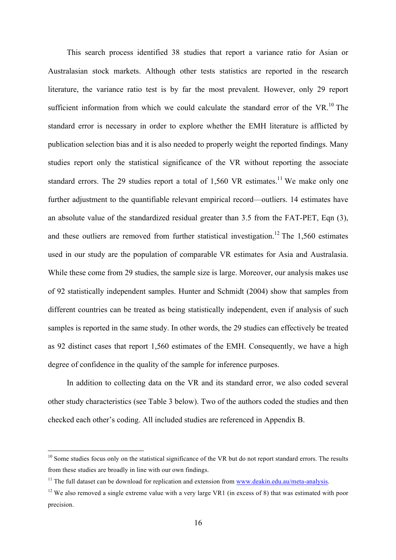This search process identified 38 studies that report a variance ratio for Asian or Australasian stock markets. Although other tests statistics are reported in the research literature, the variance ratio test is by far the most prevalent. However, only 29 report sufficient information from which we could calculate the standard error of the VR.<sup>10</sup> The standard error is necessary in order to explore whether the EMH literature is afflicted by publication selection bias and it is also needed to properly weight the reported findings. Many studies report only the statistical significance of the VR without reporting the associate standard errors. The 29 studies report a total of  $1,560$  VR estimates.<sup>11</sup> We make only one further adjustment to the quantifiable relevant empirical record—outliers. 14 estimates have an absolute value of the standardized residual greater than 3.5 from the FAT-PET, Eqn (3), and these outliers are removed from further statistical investigation.<sup>12</sup> The 1,560 estimates used in our study are the population of comparable VR estimates for Asia and Australasia. While these come from 29 studies, the sample size is large. Moreover, our analysis makes use of 92 statistically independent samples. Hunter and Schmidt (2004) show that samples from different countries can be treated as being statistically independent, even if analysis of such samples is reported in the same study. In other words, the 29 studies can effectively be treated as 92 distinct cases that report 1,560 estimates of the EMH. Consequently, we have a high degree of confidence in the quality of the sample for inference purposes.

In addition to collecting data on the VR and its standard error, we also coded several other study characteristics (see Table 3 below). Two of the authors coded the studies and then checked each other's coding. All included studies are referenced in Appendix B.

 $10$  Some studies focus only on the statistical significance of the VR but do not report standard errors. The results from these studies are broadly in line with our own findings.

 $11$  The full dataset can be download for replication and extension from www.deakin.edu.au/meta-analysis.

 $12$  We also removed a single extreme value with a very large VR1 (in excess of 8) that was estimated with poor precision.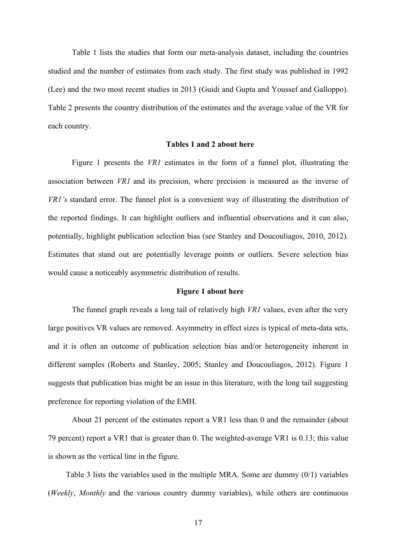Table 1 lists the studies that form our meta-analysis dataset, including the countries studied and the number of estimates from each study. The first study was published in 1992 (Lee) and the two most recent studies in 2013 (Guidi and Gupta and Youssef and Galloppo). Table 2 presents the country distribution of the estimates and the average value of the VR for each country.

#### **Tables 1 and 2 about here**

Figure 1 presents the *VR1* estimates in the form of a funnel plot, illustrating the association between *VR1* and its precision, where precision is measured as the inverse of *VR1's* standard error. The funnel plot is a convenient way of illustrating the distribution of the reported findings. It can highlight outliers and influential observations and it can also, potentially, highlight publication selection bias (see Stanley and Doucouliagos, 2010, 2012). Estimates that stand out are potentially leverage points or outliers. Severe selection bias would cause a noticeably asymmetric distribution of results.

#### **Figure 1 about here**

The funnel graph reveals a long tail of relatively high *VR1* values, even after the very large positives VR values are removed. Asymmetry in effect sizes is typical of meta-data sets, and it is often an outcome of publication selection bias and/or heterogeneity inherent in different samples (Roberts and Stanley, 2005; Stanley and Doucouliagos, 2012). Figure 1 suggests that publication bias might be an issue in this literature, with the long tail suggesting preference for reporting violation of the EMH.

About 21 percent of the estimates report a VR1 less than 0 and the remainder (about 79 percent) report a VR1 that is greater than 0. The weighted-average VR1 is 0.13; this value is shown as the vertical line in the figure.

Table 3 lists the variables used in the multiple MRA. Some are dummy (0/1) variables (*Weekly*, *Monthly* and the various country dummy variables), while others are continuous

17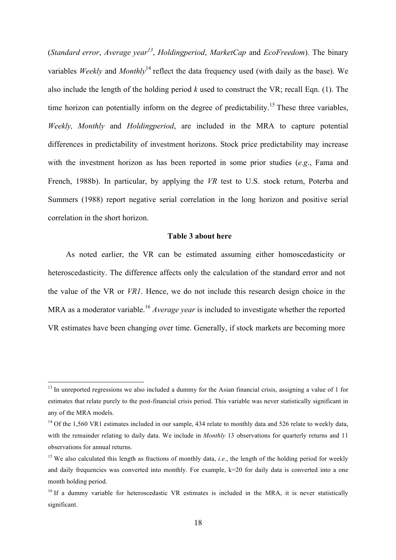(*Standard error*, *Average year<sup>13</sup>*, *Holdingperiod*, *MarketCap* and *EcoFreedom*). The binary variables *Weekly* and *Monthly*<sup>14</sup> reflect the data frequency used (with daily as the base). We also include the length of the holding period *k* used to construct the VR; recall Eqn. (1). The time horizon can potentially inform on the degree of predictability.<sup>15</sup> These three variables, *Weekly, Monthly* and *Holdingperiod*, are included in the MRA to capture potential differences in predictability of investment horizons. Stock price predictability may increase with the investment horizon as has been reported in some prior studies (*e.g*., Fama and French, 1988b). In particular, by applying the *VR* test to U.S. stock return, Poterba and Summers (1988) report negative serial correlation in the long horizon and positive serial correlation in the short horizon.

#### **Table 3 about here**

As noted earlier, the VR can be estimated assuming either homoscedasticity or heteroscedasticity. The difference affects only the calculation of the standard error and not the value of the VR or *VR1*. Hence, we do not include this research design choice in the MRA as a moderator variable.<sup>16</sup> *Average year* is included to investigate whether the reported VR estimates have been changing over time. Generally, if stock markets are becoming more

 $13$  In unreported regressions we also included a dummy for the Asian financial crisis, assigning a value of 1 for estimates that relate purely to the post-financial crisis period. This variable was never statistically significant in any of the MRA models.

<sup>&</sup>lt;sup>14</sup> Of the 1,560 VR1 estimates included in our sample, 434 relate to monthly data and 526 relate to weekly data, with the remainder relating to daily data. We include in *Monthly* 13 observations for quarterly returns and 11 observations for annual returns.

<sup>&</sup>lt;sup>15</sup> We also calculated this length as fractions of monthly data, *i.e.*, the length of the holding period for weekly and daily frequencies was converted into monthly. For example, k=20 for daily data is converted into a one month holding period.

<sup>&</sup>lt;sup>16</sup> If a dummy variable for heteroscedastic VR estimates is included in the MRA, it is never statistically significant.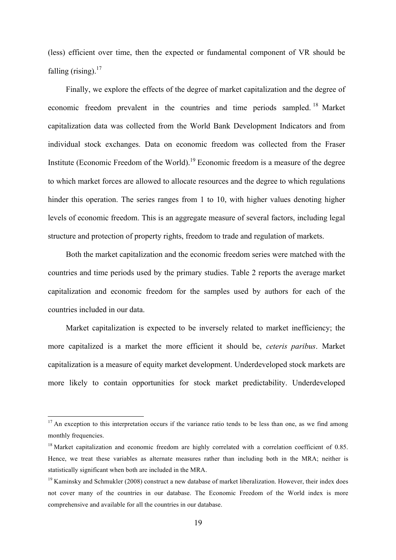(less) efficient over time, then the expected or fundamental component of VR should be falling (rising). $17$ 

Finally, we explore the effects of the degree of market capitalization and the degree of economic freedom prevalent in the countries and time periods sampled. <sup>18</sup> Market capitalization data was collected from the World Bank Development Indicators and from individual stock exchanges. Data on economic freedom was collected from the Fraser Institute (Economic Freedom of the World).19 Economic freedom is a measure of the degree to which market forces are allowed to allocate resources and the degree to which regulations hinder this operation. The series ranges from 1 to 10, with higher values denoting higher levels of economic freedom. This is an aggregate measure of several factors, including legal structure and protection of property rights, freedom to trade and regulation of markets.

Both the market capitalization and the economic freedom series were matched with the countries and time periods used by the primary studies. Table 2 reports the average market capitalization and economic freedom for the samples used by authors for each of the countries included in our data.

Market capitalization is expected to be inversely related to market inefficiency; the more capitalized is a market the more efficient it should be, *ceteris paribus*. Market capitalization is a measure of equity market development. Underdeveloped stock markets are more likely to contain opportunities for stock market predictability. Underdeveloped

 $17$  An exception to this interpretation occurs if the variance ratio tends to be less than one, as we find among monthly frequencies.

<sup>&</sup>lt;sup>18</sup> Market capitalization and economic freedom are highly correlated with a correlation coefficient of 0.85. Hence, we treat these variables as alternate measures rather than including both in the MRA; neither is statistically significant when both are included in the MRA.

<sup>&</sup>lt;sup>19</sup> Kaminsky and Schmukler (2008) construct a new database of market liberalization. However, their index does not cover many of the countries in our database. The Economic Freedom of the World index is more comprehensive and available for all the countries in our database.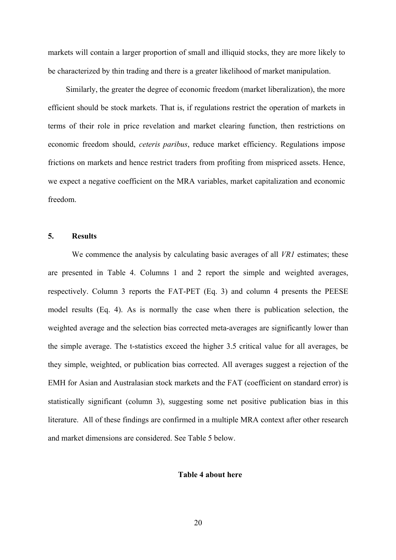markets will contain a larger proportion of small and illiquid stocks, they are more likely to be characterized by thin trading and there is a greater likelihood of market manipulation.

Similarly, the greater the degree of economic freedom (market liberalization), the more efficient should be stock markets. That is, if regulations restrict the operation of markets in terms of their role in price revelation and market clearing function, then restrictions on economic freedom should, *ceteris paribus*, reduce market efficiency. Regulations impose frictions on markets and hence restrict traders from profiting from mispriced assets. Hence, we expect a negative coefficient on the MRA variables, market capitalization and economic freedom.

#### **5. Results**

We commence the analysis by calculating basic averages of all *VR1* estimates; these are presented in Table 4. Columns 1 and 2 report the simple and weighted averages, respectively. Column 3 reports the FAT-PET (Eq. 3) and column 4 presents the PEESE model results (Eq. 4). As is normally the case when there is publication selection, the weighted average and the selection bias corrected meta-averages are significantly lower than the simple average. The t-statistics exceed the higher 3.5 critical value for all averages, be they simple, weighted, or publication bias corrected. All averages suggest a rejection of the EMH for Asian and Australasian stock markets and the FAT (coefficient on standard error) is statistically significant (column 3), suggesting some net positive publication bias in this literature. All of these findings are confirmed in a multiple MRA context after other research and market dimensions are considered. See Table 5 below.

#### **Table 4 about here**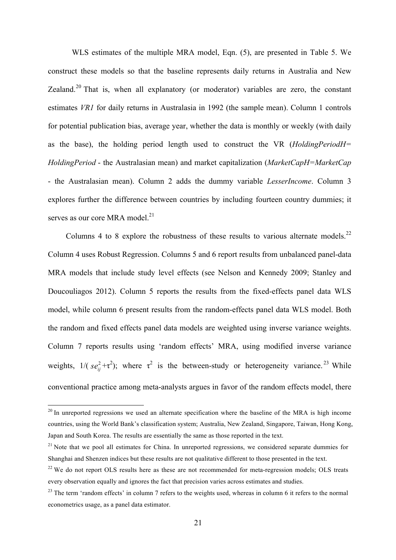WLS estimates of the multiple MRA model, Eqn. (5), are presented in Table 5. We construct these models so that the baseline represents daily returns in Australia and New Zealand.<sup>20</sup> That is, when all explanatory (or moderator) variables are zero, the constant estimates *VR1* for daily returns in Australasia in 1992 (the sample mean). Column 1 controls for potential publication bias, average year, whether the data is monthly or weekly (with daily as the base), the holding period length used to construct the VR (*HoldingPeriodH= HoldingPeriod* - the Australasian mean) and market capitalization (*MarketCapH=MarketCap*  - the Australasian mean). Column 2 adds the dummy variable *LesserIncome*. Column 3 explores further the difference between countries by including fourteen country dummies; it serves as our core MRA model.<sup>21</sup>

Columns 4 to 8 explore the robustness of these results to various alternate models.<sup>22</sup> Column 4 uses Robust Regression. Columns 5 and 6 report results from unbalanced panel-data MRA models that include study level effects (see Nelson and Kennedy 2009; Stanley and Doucouliagos 2012). Column 5 reports the results from the fixed-effects panel data WLS model, while column 6 present results from the random-effects panel data WLS model. Both the random and fixed effects panel data models are weighted using inverse variance weights. Column 7 reports results using 'random effects' MRA, using modified inverse variance weights,  $1/(\text{se}_i^2 + \tau^2)$ ; where  $\tau^2$  is the between-study or heterogeneity variance.<sup>23</sup> While conventional practice among meta-analysts argues in favor of the random effects model, there

 $20$  In unreported regressions we used an alternate specification where the baseline of the MRA is high income countries, using the World Bank's classification system; Australia, New Zealand, Singapore, Taiwan, Hong Kong, Japan and South Korea. The results are essentially the same as those reported in the text.

<sup>&</sup>lt;sup>21</sup> Note that we pool all estimates for China. In unreported regressions, we considered separate dummies for Shanghai and Shenzen indices but these results are not qualitative different to those presented in the text.

<sup>&</sup>lt;sup>22</sup> We do not report OLS results here as these are not recommended for meta-regression models; OLS treats every observation equally and ignores the fact that precision varies across estimates and studies.

 $^{23}$  The term 'random effects' in column 7 refers to the weights used, whereas in column 6 it refers to the normal econometrics usage, as a panel data estimator.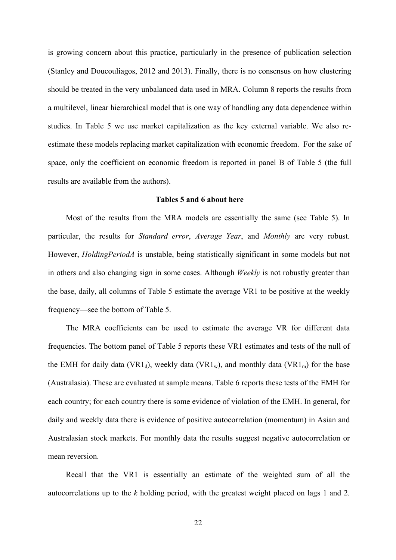is growing concern about this practice, particularly in the presence of publication selection (Stanley and Doucouliagos, 2012 and 2013). Finally, there is no consensus on how clustering should be treated in the very unbalanced data used in MRA. Column 8 reports the results from a multilevel, linear hierarchical model that is one way of handling any data dependence within studies. In Table 5 we use market capitalization as the key external variable. We also reestimate these models replacing market capitalization with economic freedom. For the sake of space, only the coefficient on economic freedom is reported in panel B of Table 5 (the full results are available from the authors).

#### **Tables 5 and 6 about here**

Most of the results from the MRA models are essentially the same (see Table 5). In particular, the results for *Standard error*, *Average Year*, and *Monthly* are very robust. However, *HoldingPeriodA* is unstable, being statistically significant in some models but not in others and also changing sign in some cases. Although *Weekly* is not robustly greater than the base, daily, all columns of Table 5 estimate the average VR1 to be positive at the weekly frequency—see the bottom of Table 5.

The MRA coefficients can be used to estimate the average VR for different data frequencies. The bottom panel of Table 5 reports these VR1 estimates and tests of the null of the EMH for daily data (VR1<sub>d</sub>), weekly data (VR1<sub>w</sub>), and monthly data (VR1<sub>m</sub>) for the base (Australasia). These are evaluated at sample means. Table 6 reports these tests of the EMH for each country; for each country there is some evidence of violation of the EMH. In general, for daily and weekly data there is evidence of positive autocorrelation (momentum) in Asian and Australasian stock markets. For monthly data the results suggest negative autocorrelation or mean reversion.

Recall that the VR1 is essentially an estimate of the weighted sum of all the autocorrelations up to the *k* holding period, with the greatest weight placed on lags 1 and 2.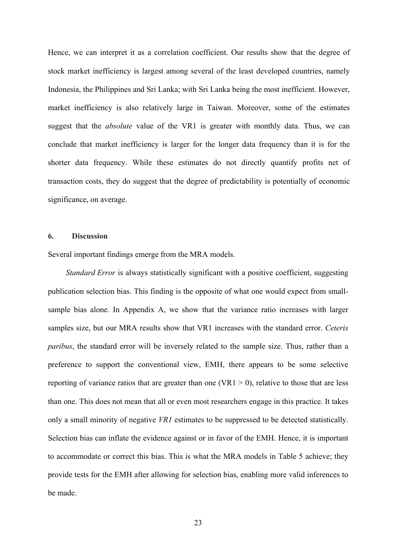Hence, we can interpret it as a correlation coefficient. Our results show that the degree of stock market inefficiency is largest among several of the least developed countries, namely Indonesia, the Philippines and Sri Lanka; with Sri Lanka being the most inefficient. However, market inefficiency is also relatively large in Taiwan. Moreover, some of the estimates suggest that the *absolute* value of the VR1 is greater with monthly data. Thus, we can conclude that market inefficiency is larger for the longer data frequency than it is for the shorter data frequency. While these estimates do not directly quantify profits net of transaction costs, they do suggest that the degree of predictability is potentially of economic significance, on average.

#### **6. Discussion**

Several important findings emerge from the MRA models.

*Standard Error* is always statistically significant with a positive coefficient, suggesting publication selection bias. This finding is the opposite of what one would expect from smallsample bias alone. In Appendix A, we show that the variance ratio increases with larger samples size, but our MRA results show that VR1 increases with the standard error. *Ceteris paribus*, the standard error will be inversely related to the sample size. Thus, rather than a preference to support the conventional view, EMH, there appears to be some selective reporting of variance ratios that are greater than one (VR1  $>$  0), relative to those that are less than one. This does not mean that all or even most researchers engage in this practice. It takes only a small minority of negative *VR1* estimates to be suppressed to be detected statistically. Selection bias can inflate the evidence against or in favor of the EMH. Hence, it is important to accommodate or correct this bias. This is what the MRA models in Table 5 achieve; they provide tests for the EMH after allowing for selection bias, enabling more valid inferences to be made.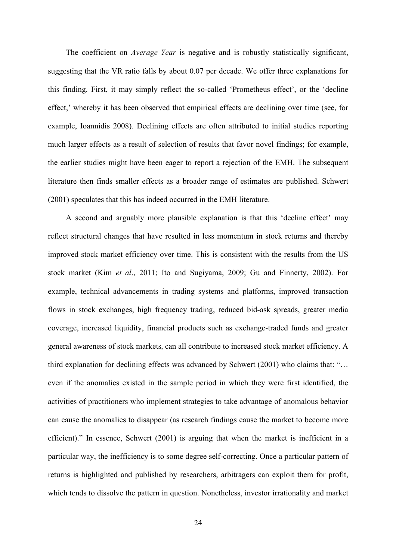The coefficient on *Average Year* is negative and is robustly statistically significant, suggesting that the VR ratio falls by about 0.07 per decade. We offer three explanations for this finding. First, it may simply reflect the so-called 'Prometheus effect', or the 'decline effect,' whereby it has been observed that empirical effects are declining over time (see, for example, Ioannidis 2008). Declining effects are often attributed to initial studies reporting much larger effects as a result of selection of results that favor novel findings; for example, the earlier studies might have been eager to report a rejection of the EMH. The subsequent literature then finds smaller effects as a broader range of estimates are published. Schwert (2001) speculates that this has indeed occurred in the EMH literature.

A second and arguably more plausible explanation is that this 'decline effect' may reflect structural changes that have resulted in less momentum in stock returns and thereby improved stock market efficiency over time. This is consistent with the results from the US stock market (Kim *et al*., 2011; Ito and Sugiyama, 2009; Gu and Finnerty, 2002). For example, technical advancements in trading systems and platforms, improved transaction flows in stock exchanges, high frequency trading, reduced bid-ask spreads, greater media coverage, increased liquidity, financial products such as exchange-traded funds and greater general awareness of stock markets, can all contribute to increased stock market efficiency. A third explanation for declining effects was advanced by Schwert (2001) who claims that: "… even if the anomalies existed in the sample period in which they were first identified, the activities of practitioners who implement strategies to take advantage of anomalous behavior can cause the anomalies to disappear (as research findings cause the market to become more efficient)." In essence, Schwert (2001) is arguing that when the market is inefficient in a particular way, the inefficiency is to some degree self-correcting. Once a particular pattern of returns is highlighted and published by researchers, arbitragers can exploit them for profit, which tends to dissolve the pattern in question. Nonetheless, investor irrationality and market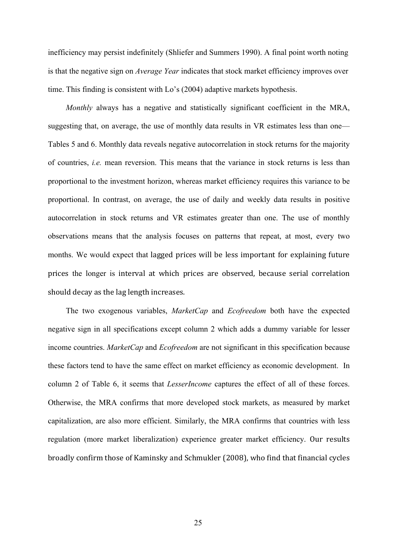inefficiency may persist indefinitely (Shliefer and Summers 1990). A final point worth noting is that the negative sign on *Average Year* indicates that stock market efficiency improves over time. This finding is consistent with Lo's (2004) adaptive markets hypothesis.

*Monthly* always has a negative and statistically significant coefficient in the MRA, suggesting that, on average, the use of monthly data results in VR estimates less than one— Tables 5 and 6. Monthly data reveals negative autocorrelation in stock returns for the majority of countries, *i.e.* mean reversion. This means that the variance in stock returns is less than proportional to the investment horizon, whereas market efficiency requires this variance to be proportional. In contrast, on average, the use of daily and weekly data results in positive autocorrelation in stock returns and VR estimates greater than one. The use of monthly observations means that the analysis focuses on patterns that repeat, at most, every two months. We would expect that lagged prices will be less important for explaining future prices the longer is interval at which prices are observed, because serial correlation should decay as the lag length increases.

The two exogenous variables, *MarketCap* and *Ecofreedom* both have the expected negative sign in all specifications except column 2 which adds a dummy variable for lesser income countries. *MarketCap* and *Ecofreedom* are not significant in this specification because these factors tend to have the same effect on market efficiency as economic development. In column 2 of Table 6, it seems that *LesserIncome* captures the effect of all of these forces. Otherwise, the MRA confirms that more developed stock markets, as measured by market capitalization, are also more efficient. Similarly, the MRA confirms that countries with less regulation (more market liberalization) experience greater market efficiency. Our results broadly confirm those of Kaminsky and Schmukler (2008), who find that financial cycles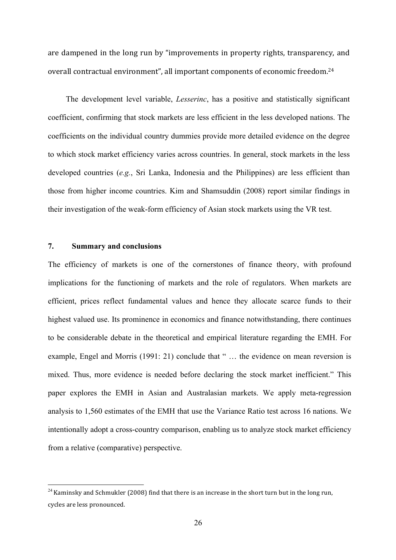are dampened in the long run by "improvements in property rights, transparency, and overall contractual environment", all important components of economic freedom.<sup>24</sup>

The development level variable, *Lesserinc*, has a positive and statistically significant coefficient, confirming that stock markets are less efficient in the less developed nations. The coefficients on the individual country dummies provide more detailed evidence on the degree to which stock market efficiency varies across countries. In general, stock markets in the less developed countries (*e.g.*, Sri Lanka, Indonesia and the Philippines) are less efficient than those from higher income countries. Kim and Shamsuddin (2008) report similar findings in their investigation of the weak-form efficiency of Asian stock markets using the VR test.

## **7. Summary and conclusions**

The efficiency of markets is one of the cornerstones of finance theory, with profound implications for the functioning of markets and the role of regulators. When markets are efficient, prices reflect fundamental values and hence they allocate scarce funds to their highest valued use. Its prominence in economics and finance notwithstanding, there continues to be considerable debate in the theoretical and empirical literature regarding the EMH. For example, Engel and Morris (1991: 21) conclude that " ... the evidence on mean reversion is mixed. Thus, more evidence is needed before declaring the stock market inefficient." This paper explores the EMH in Asian and Australasian markets. We apply meta-regression analysis to 1,560 estimates of the EMH that use the Variance Ratio test across 16 nations. We intentionally adopt a cross-country comparison, enabling us to analyze stock market efficiency from a relative (comparative) perspective.

 $24$  Kaminsky and Schmukler (2008) find that there is an increase in the short turn but in the long run, cycles are less pronounced.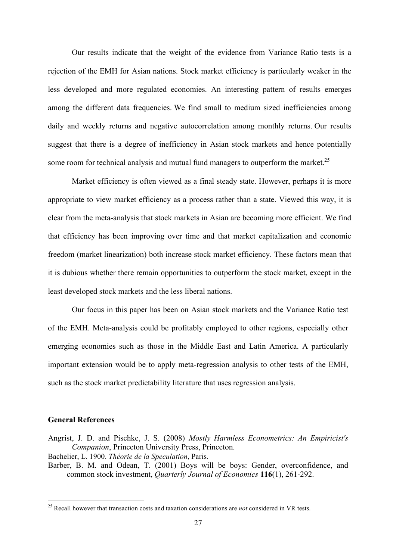Our results indicate that the weight of the evidence from Variance Ratio tests is a rejection of the EMH for Asian nations. Stock market efficiency is particularly weaker in the less developed and more regulated economies. An interesting pattern of results emerges among the different data frequencies. We find small to medium sized inefficiencies among daily and weekly returns and negative autocorrelation among monthly returns. Our results suggest that there is a degree of inefficiency in Asian stock markets and hence potentially some room for technical analysis and mutual fund managers to outperform the market.<sup>25</sup>

Market efficiency is often viewed as a final steady state. However, perhaps it is more appropriate to view market efficiency as a process rather than a state. Viewed this way, it is clear from the meta-analysis that stock markets in Asian are becoming more efficient. We find that efficiency has been improving over time and that market capitalization and economic freedom (market linearization) both increase stock market efficiency. These factors mean that it is dubious whether there remain opportunities to outperform the stock market, except in the least developed stock markets and the less liberal nations.

Our focus in this paper has been on Asian stock markets and the Variance Ratio test of the EMH. Meta-analysis could be profitably employed to other regions, especially other emerging economies such as those in the Middle East and Latin America. A particularly important extension would be to apply meta-regression analysis to other tests of the EMH, such as the stock market predictability literature that uses regression analysis.

#### **General References**

Angrist, J. D. and Pischke, J. S. (2008) *Mostly Harmless Econometrics: An Empiricist's Companion*, Princeton University Press, Princeton. Bachelier, L. 1900. *Théorie de la Speculation*, Paris.

Barber, B. M. and Odean, T. (2001) Boys will be boys: Gender, overconfidence, and common stock investment, *Quarterly Journal of Economics* **116**(1), 261-292.

 <sup>25</sup> Recall however that transaction costs and taxation considerations are *not* considered in VR tests.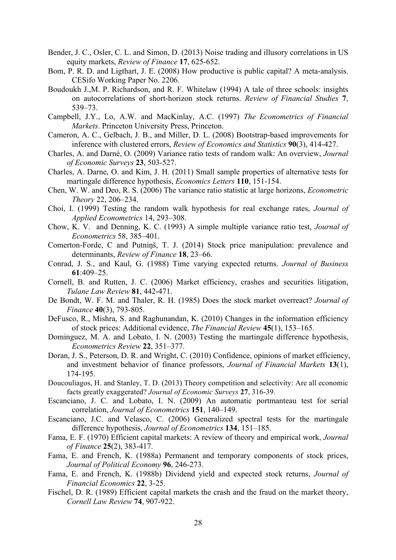- Bender, J. C., Osler, C. L. and Simon, D. (2013) Noise trading and illusory correlations in US equity markets, *Review of Finance* **17**, 625-652.
- Bom, P. R. D. and Ligthart, J. E. (2008) How productive is public capital? A meta-analysis. CESifo Working Paper No. 2206.
- Boudoukh J.,M. P. Richardson, and R. F. Whitelaw (1994) A tale of three schools: insights on autocorrelations of short-horizon stock returns. *Review of Financial Studies* **7**, 539–73.
- Campbell, J.Y., Lo, A.W. and MacKinlay, A.C. (1997) *The Econometrics of Financial Markets*. Princeton University Press, Princeton.
- Cameron, A. C., Gelbach, J. B., and Miller, D. L. (2008) Bootstrap-based improvements for inference with clustered errors, *Review of Economics and Statistics* **90**(3), 414-427.
- Charles, A. and Darné, O. (2009) Variance ratio tests of random walk: An overview, *Journal of Economic Surveys* **23**, 503-527.
- Charles, A. Darne, O. and Kim, J. H. (2011) Small sample properties of alternative tests for martingale difference hypothesis, *Economics Letters* **110**, 151-154.
- Chen, W. W. and Deo, R. S. (2006) The variance ratio statistic at large horizons, *Econometric Theory* 22, 206–234.
- Choi, I. (1999) Testing the random walk hypothesis for real exchange rates, *Journal of Applied Econometrics* 14, 293–308.
- Chow, K. V. and Denning, K. C. (1993) A simple multiple variance ratio test, *Journal of Econometrics* 58, 385–401.
- Comerton-Forde, C and Putniņš, T. J. (2014) Stock price manipulation: prevalence and determinants, *Review of Finance* **18**, 23–66.
- Conrad, J. S., and Kaul, G. (1988) Time varying expected returns. *Journal of Business*  **61**:409–25.
- Cornell, B. and Rutten, J. C. (2006) Market efficiency, crashes and securities litigation, *Tulane Law Review* **81**, 442-471.
- De Bondt, W. F. M. and Thaler, R. H. (1985) Does the stock market overreact? *Journal of Finance* **40**(3), 793-805.
- DeFusco, R., Mishra, S. and Raghunandan, K. (2010) Changes in the information efficiency of stock prices: Additional evidence, *The Financial Review* **45**(1), 153–165.
- Dominguez, M. A. and Lobato, I. N. (2003) Testing the martingale difference hypothesis, *Econometrics Review* **22**, 351–377.
- Doran, J. S., Peterson, D. R. and Wright, C. (2010) Confidence, opinions of market efficiency, and investment behavior of finance professors, *Journal of Financial Markets* **13**(1), 174-195.
- Doucouliagos, H. and Stanley, T. D. (2013) Theory competition and selectivity: Are all economic facts greatly exaggerated? *Journal of Economic Surveys* **27**, 316-39.
- Escanciano, J. C. and Lobato, I. N. (2009) An automatic portmanteau test for serial correlation, *Journal of Econometrics* **151**, 140–149.
- Escanciano, J.C. and Velasco, C. (2006) Generalized spectral tests for the martingale difference hypothesis, *Journal of Econometrics* **134**, 151–185.
- Fama, E. F. (1970) Efficient capital markets: A review of theory and empirical work, *Journal of Finance* **25**(2), 383-417.
- Fama, E. and French, K. (1988a) Permanent and temporary components of stock prices, *Journal of Political Economy* **96**, 246-273.
- Fama, E. and French, K. (1988b) Dividend yield and expected stock returns, *Journal of Financial Economics* **22**, 3-25.
- Fischel, D. R. (1989) Efficient capital markets the crash and the fraud on the market theory, *Cornell Law Review* **74**, 907-922.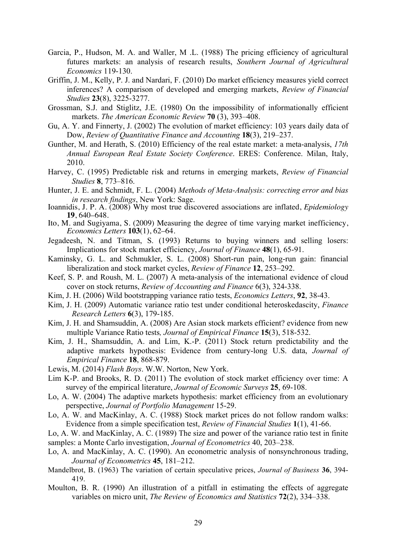- Garcia, P., Hudson, M. A. and Waller, M .L. (1988) The pricing efficiency of agricultural futures markets: an analysis of research results, *Southern Journal of Agricultural Economics* 119-130.
- Griffin, J. M., Kelly, P. J. and Nardari, F. (2010) Do market efficiency measures yield correct inferences? A comparison of developed and emerging markets, *Review of Financial Studies* **23**(8), 3225-3277.
- Grossman, S.J. and Stiglitz, J.E. (1980) On the impossibility of informationally efficient markets. *The American Economic Review* **70** (3), 393–408.
- Gu, A. Y. and Finnerty, J. (2002) The evolution of market efficiency: 103 years daily data of Dow, *Review of Quantitative Finance and Accounting* **18**(3), 219–237.
- Gunther, M. and Herath, S. (2010) Efficiency of the real estate market: a meta-analysis, *17th Annual European Real Estate Society Conference*. ERES: Conference. Milan, Italy, 2010.
- Harvey, C. (1995) Predictable risk and returns in emerging markets, *Review of Financial Studies* **8**, 773–816.
- Hunter, J. E. and Schmidt, F. L. (2004) *Methods of Meta-Analysis: correcting error and bias in research findings*, New York: Sage.
- Ioannidis, J. P. A. (2008) Why most true discovered associations are inflated, *Epidemiology* **19**, 640–648.
- Ito, M. and Sugiyama, S. (2009) Measuring the degree of time varying market inefficiency, *Economics Letters* **103**(1), 62–64.
- Jegadeesh, N. and Titman, S. (1993) Returns to buying winners and selling losers: Implications for stock market efficiency, *Journal of Finance* **48**(1), 65-91.
- Kaminsky, G. L. and Schmukler, S. L. (2008) Short-run pain, long-run gain: financial liberalization and stock market cycles, *Review of Finance* **12**, 253–292.
- Keef, S. P. and Roush, M. L. (2007) A meta-analysis of the international evidence of cloud cover on stock returns, *Review of Accounting and Finance* 6(3), 324-338.
- Kim, J. H. (2006) Wild bootstrapping variance ratio tests, *Economics Letters*, **92**, 38-43.
- Kim, J. H. (2009) Automatic variance ratio test under conditional heteroskedascity, *Finance Research Letters* **6**(3), 179-185.
- Kim, J. H. and Shamsuddin, A. (2008) Are Asian stock markets efficient? evidence from new multiple Variance Ratio tests*, Journal of Empirical Finance* **15**(3), 518-532.
- Kim, J. H., Shamsuddin, A. and Lim, K.-P. (2011) Stock return predictability and the adaptive markets hypothesis: Evidence from century-long U.S. data, *Journal of Empirical Finance* **18**, 868-879.
- Lewis, M. (2014) *Flash Boys*. W.W. Norton, New York.
- Lim K-P. and Brooks, R. D. (2011) The evolution of stock market efficiency over time: A survey of the empirical literature, *Journal of Economic Surveys* **25**, 69-108.
- Lo, A. W. (2004) The adaptive markets hypothesis: market efficiency from an evolutionary perspective, *Journal of Portfolio Management* 15-29.
- Lo, A. W. and MacKinlay, A. C. (1988) Stock market prices do not follow random walks: Evidence from a simple specification test, *Review of Financial Studies* **1**(1), 41-66.
- Lo, A. W. and MacKinlay, A. C. (1989) The size and power of the variance ratio test in finite samples: a Monte Carlo investigation, *Journal of Econometrics* 40, 203–238.
- Lo, A. and MacKinlay, A. C. (1990). An econometric analysis of nonsynchronous trading, *Journal of Econometrics* **45**, 181–212.
- Mandelbrot, B. (1963) The variation of certain speculative prices, *Journal of Business* **36**, 394- 419.
- Moulton, B. R. (1990) An illustration of a pitfall in estimating the effects of aggregate variables on micro unit, *The Review of Economics and Statistics* **72**(2), 334–338.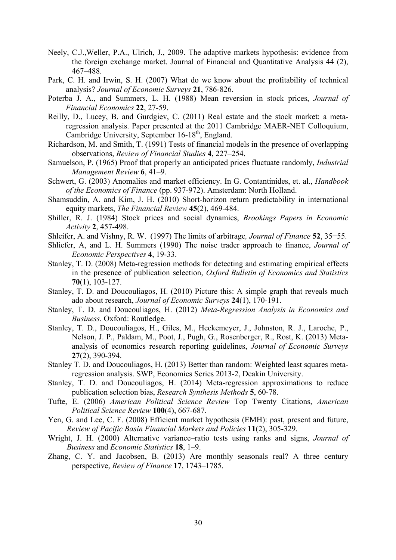- Neely, C.J.,Weller, P.A., Ulrich, J., 2009. The adaptive markets hypothesis: evidence from the foreign exchange market. Journal of Financial and Quantitative Analysis 44 (2), 467–488.
- Park, C. H. and Irwin, S. H. (2007) What do we know about the profitability of technical analysis? *Journal of Economic Surveys* **21**, 786-826.
- Poterba J. A., and Summers, L. H. (1988) Mean reversion in stock prices, *Journal of Financial Economics* **22**, 27-59.
- Reilly, D., Lucey, B. and Gurdgiev, C. (2011) Real estate and the stock market: a metaregression analysis. Paper presented at the 2011 Cambridge MAER-NET Colloquium, Cambridge University, September  $16-18<sup>th</sup>$ , England.
- Richardson, M. and Smith, T. (1991) Tests of financial models in the presence of overlapping observations, *Review of Financial Studies* **4**, 227–254.
- Samuelson, P. (1965) Proof that properly an anticipated prices fluctuate randomly, *Industrial Management Review* **6**, 41–9.
- Schwert, G. (2003) Anomalies and market efficiency. In G. Contantinides, et. al., *Handbook of the Economics of Finance* (pp. 937-972). Amsterdam: North Holland.
- Shamsuddin, A. and Kim, J. H. (2010) Short-horizon return predictability in international equity markets, *The Financial Review* **45**(2), 469-484.
- Shiller, R. J. (1984) Stock prices and social dynamics, *Brookings Papers in Economic Activity* **2**, 457-498.
- Shleifer, A. and Vishny, R. W. (1997) The limits of arbitrage*, Journal of Finance* **52**, 35−55.
- Shliefer, A, and L. H. Summers (1990) The noise trader approach to finance, *Journal of Economic Perspectives* **4**, 19-33.
- Stanley, T. D. (2008) Meta-regression methods for detecting and estimating empirical effects in the presence of publication selection, *Oxford Bulletin of Economics and Statistics* **70**(1), 103-127.
- Stanley, T. D. and Doucouliagos, H. (2010) Picture this: A simple graph that reveals much ado about research, *Journal of Economic Surveys* **24**(1), 170-191.
- Stanley, T. D. and Doucouliagos, H. (2012) *Meta-Regression Analysis in Economics and Business*. Oxford: Routledge.
- Stanley, T. D., Doucouliagos, H., Giles, M., Heckemeyer, J., Johnston, R. J., Laroche, P., Nelson, J. P., Paldam, M., Poot, J., Pugh, G., Rosenberger, R., Rost, K. (2013) Metaanalysis of economics research reporting guidelines, *Journal of Economic Surveys* **27**(2), 390-394.
- Stanley T. D. and Doucouliagos, H. (2013) Better than random: Weighted least squares metaregression analysis. SWP, Economics Series 2013-2, Deakin University.
- Stanley, T. D. and Doucouliagos, H. (2014) Meta-regression approximations to reduce publication selection bias, *Research Synthesis Methods* **5**, 60-78.
- Tufte, E. (2006) *American Political Science Review* Top Twenty Citations, *American Political Science Review* **100**(4), 667-687.
- Yen, G. and Lee, C. F. (2008) Efficient market hypothesis (EMH): past, present and future, *Review of Pacific Basin Financial Markets and Policies* **11**(2), 305-329.
- Wright, J. H. (2000) Alternative variance–ratio tests using ranks and signs, *Journal of Business* and *Economic Statistics* **18**, 1–9.
- Zhang, C. Y. and Jacobsen, B. (2013) Are monthly seasonals real? A three century perspective, *Review of Finance* **17**, 1743–1785.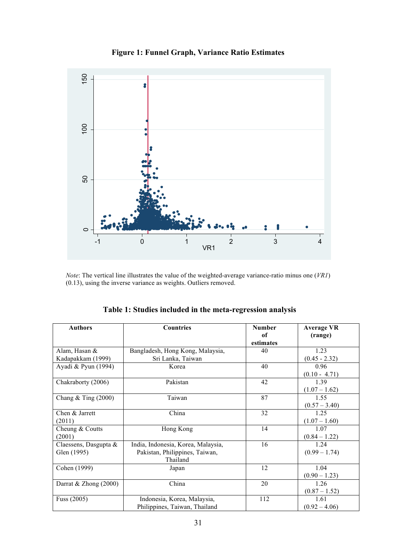



*Note*: The vertical line illustrates the value of the weighted-average variance-ratio minus one (*VR1*) (0.13), using the inverse variance as weights. Outliers removed.

| <b>Authors</b>          | <b>Countries</b>                   | <b>Number</b><br>of | <b>Average VR</b><br>(range) |
|-------------------------|------------------------------------|---------------------|------------------------------|
|                         |                                    | estimates           |                              |
| Alam, Hasan &           | Bangladesh, Hong Kong, Malaysia,   | 40                  | 1.23                         |
| Kadapakkam (1999)       | Sri Lanka, Taiwan                  |                     | $(0.45 - 2.32)$              |
| Ayadi & Pyun (1994)     | Korea                              | 40                  | 0.96                         |
|                         |                                    |                     | $(0.10 - 4.71)$              |
| Chakraborty (2006)      | Pakistan                           | 42                  | 1.39                         |
|                         |                                    |                     | $(1.07 - 1.62)$              |
| Chang $&$ Ting (2000)   | Taiwan                             | 87                  | 1.55                         |
|                         |                                    |                     | $(0.57 - 3.40)$              |
| Chen & Jarrett          | China                              | 32                  | 1.25                         |
| (2011)                  |                                    |                     | $(1.07 - 1.60)$              |
| Cheung & Coutts         | Hong Kong                          | 14                  | 1.07                         |
| (2001)                  |                                    |                     | $(0.84 - 1.22)$              |
| Claessens, Dasgupta &   | India, Indonesia, Korea, Malaysia, | 16                  | 1.24                         |
| Glen (1995)             | Pakistan, Philippines, Taiwan,     |                     | $(0.99 - 1.74)$              |
|                         | Thailand                           |                     |                              |
| Cohen (1999)            | Japan                              | 12                  | 1.04                         |
|                         |                                    |                     | $(0.90 - 1.23)$              |
| Darrat & Zhong $(2000)$ | China                              | 20                  | 1.26                         |
|                         |                                    |                     | $(0.87 - 1.52)$              |
| Fuss (2005)             | Indonesia, Korea, Malaysia,        | 112                 | 1.61                         |
|                         | Philippines, Taiwan, Thailand      |                     | $(0.92 - 4.06)$              |

|  |  |  |  |  |  | Table 1: Studies included in the meta-regression analysis |  |
|--|--|--|--|--|--|-----------------------------------------------------------|--|
|  |  |  |  |  |  |                                                           |  |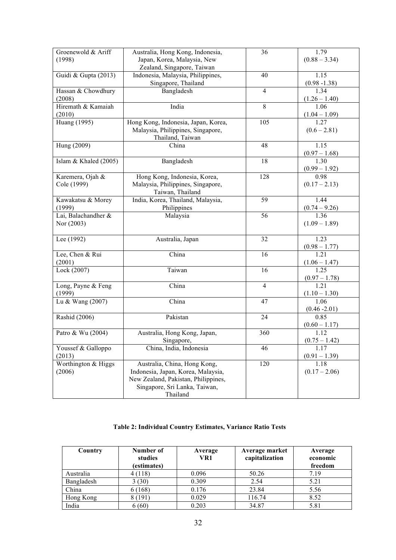| Groenewold & Ariff    | Australia, Hong Kong, Indonesia,    | 36             | 1.79                         |
|-----------------------|-------------------------------------|----------------|------------------------------|
| (1998)                | Japan, Korea, Malaysia, New         |                | $(0.88 - 3.34)$              |
|                       | Zealand, Singapore, Taiwan          |                |                              |
| Guidi & Gupta (2013)  | Indonesia, Malaysia, Philippines,   | 40             | 1.15                         |
|                       | Singapore, Thailand                 |                | $(0.98 - 1.38)$              |
| Hassan & Chowdhury    | Bangladesh                          | $\overline{4}$ | 1.34                         |
| (2008)                |                                     |                | $(1.26 - 1.40)$              |
| Hiremath & Kamaiah    | India                               | 8              | 1.06                         |
| (2010)                |                                     |                | $\frac{(1.04 - 1.09)}{1.27}$ |
| Huang (1995)          | Hong Kong, Indonesia, Japan, Korea, | 105            |                              |
|                       | Malaysia, Philippines, Singapore,   |                | $(0.6 - 2.81)$               |
|                       | Thailand, Taiwan                    |                |                              |
| Hung (2009)           | China                               | 48             | 1.15                         |
|                       |                                     |                | $(0.97 - 1.68)$              |
| Islam & Khaled (2005) | Bangladesh                          | 18             | 1.30                         |
|                       |                                     |                | $(0.99 - 1.92)$              |
| Karemera, Ojah &      | Hong Kong, Indonesia, Korea,        | 128            | 0.98                         |
| Cole (1999)           | Malaysia, Philippines, Singapore,   |                | $(0.17 - 2.13)$              |
|                       | Taiwan, Thailand                    |                |                              |
| Kawakatsu & Morey     | India, Korea, Thailand, Malaysia,   | 59             | 1.44                         |
| (1999)                | Philippines                         |                |                              |
| Lai, Balachandher &   | Malaysia                            | 56             | $\frac{(0.74-9.26)}{1.36}$   |
| Nor (2003)            |                                     |                | $(1.09 - 1.89)$              |
|                       |                                     |                |                              |
| Lee (1992)            | Australia, Japan                    | 32             | 1.23                         |
|                       |                                     |                |                              |
| Lee, Chen & Rui       | China                               | 16             | $\frac{(0.98-1.77)}{1.21}$   |
| (2001)                |                                     |                |                              |
| Lock (2007)           | Taiwan                              | 16             | $\frac{(1.06 - 1.47)}{1.25}$ |
|                       |                                     |                |                              |
| Long, Payne & Feng    | China                               | $\overline{4}$ | $\frac{(0.97-1.78)}{1.21}$   |
| (1999)                |                                     |                |                              |
| Lu & Wang (2007)      | China                               | 47             | $\frac{(1.10-1.30)}{1.06}$   |
|                       |                                     |                |                              |
| Rashid (2006)         | Pakistan                            | 24             | $\frac{(0.46 - 2.01)}{0.85}$ |
|                       |                                     |                |                              |
| Patro & Wu (2004)     | Australia, Hong Kong, Japan,        | 360            | $\frac{(0.60 - 1.17)}{1.12}$ |
|                       | Singapore,                          |                | $(0.75 - 1.42)$              |
| Youssef & Galloppo    | China, India, Indonesia             | 46             | 1.17                         |
| (2013)                |                                     |                | $(0.91 - 1.39)$              |
| Worthington & Higgs   | Australia, China, Hong Kong,        | 120            | 1.18                         |
| (2006)                | Indonesia, Japan, Korea, Malaysia,  |                | $(0.17 - 2.06)$              |
|                       | New Zealand, Pakistan, Philippines, |                |                              |
|                       | Singapore, Sri Lanka, Taiwan,       |                |                              |
|                       | Thailand                            |                |                              |

# **Table 2: Individual Country Estimates, Variance Ratio Tests**

| Country    | Number of<br>studies<br>(estimates) | Average<br>VR1 | Average market<br>capitalization | Average<br>economic<br>freedom |
|------------|-------------------------------------|----------------|----------------------------------|--------------------------------|
| Australia  | 4(118)                              | 0.096          | 50.26                            | 7.19                           |
| Bangladesh | 3(30)                               | 0.309          | 2.54                             | 5.21                           |
| China      | 6(168)                              | 0.176          | 23.84                            | 5.56                           |
| Hong Kong  | 8 (191)                             | 0.029          | 116.74                           | 8.52                           |
| India      | 6(60)                               | 0.203          | 34.87                            | 5.81                           |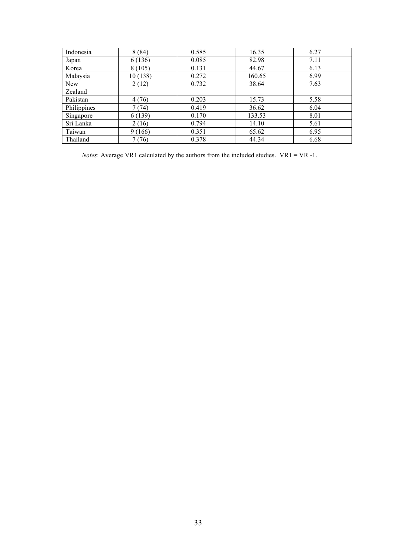| Indonesia   | 8(84)   | 0.585 | 16.35  | 6.27 |
|-------------|---------|-------|--------|------|
| Japan       | 6(136)  | 0.085 | 82.98  | 7.11 |
| Korea       | 8(105)  | 0.131 | 44.67  | 6.13 |
| Malaysia    | 10(138) | 0.272 | 160.65 | 6.99 |
| New         | 2(12)   | 0.732 | 38.64  | 7.63 |
| Zealand     |         |       |        |      |
| Pakistan    | 4(76)   | 0.203 | 15.73  | 5.58 |
| Philippines | 7 (74)  | 0.419 | 36.62  | 6.04 |
| Singapore   | 6(139)  | 0.170 | 133.53 | 8.01 |
| Sri Lanka   | 2(16)   | 0.794 | 14.10  | 5.61 |
| Taiwan      | 9(166)  | 0.351 | 65.62  | 6.95 |
| Thailand    | 7(76)   | 0.378 | 44.34  | 6.68 |

*Notes*: Average VR1 calculated by the authors from the included studies. VR1 = VR-1.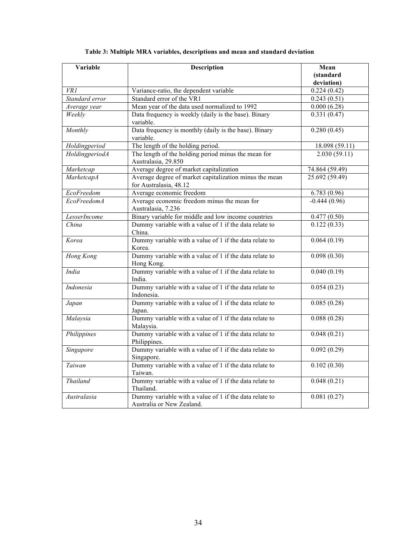| Variable           | <b>Description</b>                                     | Mean                      |
|--------------------|--------------------------------------------------------|---------------------------|
|                    |                                                        | (standard                 |
|                    |                                                        | deviation)                |
| VR1                | Variance-ratio, the dependent variable                 | 0.224(0.42)               |
| Standard error     | Standard error of the VR1                              | 0.243(0.51)               |
| Average year       | Mean year of the data used normalized to 1992          | 0.000(6.28)               |
| Weekly             | Data frequency is weekly (daily is the base). Binary   | $\overline{0.331}$ (0.47) |
|                    | variable.                                              |                           |
| Monthly            | Data frequency is monthly (daily is the base). Binary  | 0.280(0.45)               |
|                    | variable.                                              |                           |
| Holdingperiod      | The length of the holding period.                      | 18.098 (59.11)            |
| HoldingperiodA     | The length of the holding period minus the mean for    | 2.030(59.11)              |
|                    | Australasia, 29.850                                    |                           |
| Marketcap          | Average degree of market capitalization                | 74.864 (59.49)            |
| <b>MarketcapA</b>  | Average degree of market capitalization minus the mean | 25.692(59.49)             |
|                    | for Australasia, 48.12                                 |                           |
| EcoFreedom         | Average economic freedom                               | 6.783(0.96)               |
| <b>EcoFreedomA</b> | Average economic freedom minus the mean for            | $-0.444(0.96)$            |
|                    | Australasia, 7.236                                     |                           |
| LesserIncome       | Binary variable for middle and low income countries    | 0.477(0.50)               |
| China              | Dummy variable with a value of 1 if the data relate to | 0.122(0.33)               |
|                    | China.                                                 |                           |
| Korea              | Dummy variable with a value of 1 if the data relate to | 0.064(0.19)               |
|                    | Korea.                                                 |                           |
| Hong Kong          | Dummy variable with a value of 1 if the data relate to | 0.098(0.30)               |
|                    | Hong Kong.                                             |                           |
| India              | Dummy variable with a value of 1 if the data relate to | 0.040(0.19)               |
|                    | India.                                                 |                           |
| Indonesia          | Dummy variable with a value of 1 if the data relate to | 0.054(0.23)               |
|                    | Indonesia.                                             |                           |
| Japan              | Dummy variable with a value of 1 if the data relate to | 0.085(0.28)               |
|                    | Japan.                                                 |                           |
| Malaysia           | Dummy variable with a value of 1 if the data relate to | 0.088(0.28)               |
|                    | Malaysia.                                              |                           |
| Philippines        | Dummy variable with a value of 1 if the data relate to | 0.048(0.21)               |
|                    | Philippines.                                           |                           |
| Singapore          | Dummy variable with a value of 1 if the data relate to | $\overline{0.092}$ (0.29) |
|                    | Singapore.                                             |                           |
| Taiwan             | Dummy variable with a value of 1 if the data relate to | 0.102(0.30)               |
|                    | Taiwan.                                                |                           |
| Thailand           | Dummy variable with a value of 1 if the data relate to | 0.048(0.21)               |
|                    | Thailand.                                              |                           |
| Australasia        | Dummy variable with a value of 1 if the data relate to | 0.081(0.27)               |
|                    | Australia or New Zealand.                              |                           |

## **Table 3: Multiple MRA variables, descriptions and mean and standard deviation**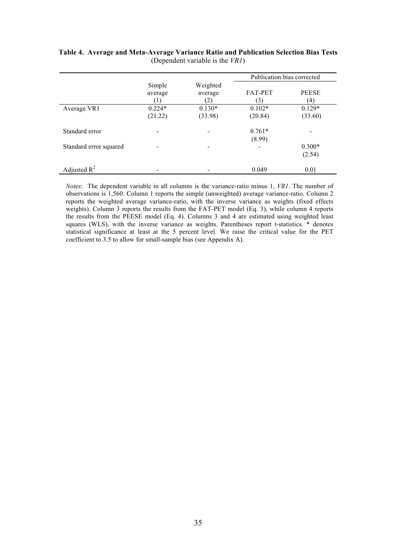|                        |                     |                            | Publication bias corrected |                     |
|------------------------|---------------------|----------------------------|----------------------------|---------------------|
|                        | Simple<br>average   | Weighted<br>average<br>(2) | <b>FAT-PET</b><br>(3)      | <b>PEESE</b><br>(4) |
| Average VR1            | $0.224*$<br>(21.22) | $0.130*$<br>(33.98)        | $0.102*$<br>(20.84)        | $0.129*$<br>(33.60) |
| Standard error         |                     |                            | $0.761*$<br>(8.99)         |                     |
| Standard error squared |                     |                            |                            | $0.300*$<br>(2.54)  |
| Adjusted $R^2$         |                     |                            | 0.049                      | 0.01                |

**Table 4. Average and Meta-Average Variance Ratio and Publication Selection Bias Tests** (Dependent variable is the *VR1*)

*Notes*: The dependent variable in all columns is the variance-ratio minus 1, *VR1*. The number of observations is 1,560. Column 1 reports the simple (unweighted) average variance-ratio. Column 2 reports the weighted average variance-ratio, with the inverse variance as weights (fixed effects weights). Column 3 reports the results from the FAT-PET model (Eq. 3), while column 4 reports the results from the PEESE model (Eq. 4). Columns 3 and 4 are estimated using weighted least squares (WLS), with the inverse variance as weights. Parentheses report t-statistics. \* denotes statistical significance at least at the 5 percent level. We raise the critical value for the PET coefficient to 3.5 to allow for small-sample bias (see Appendix A).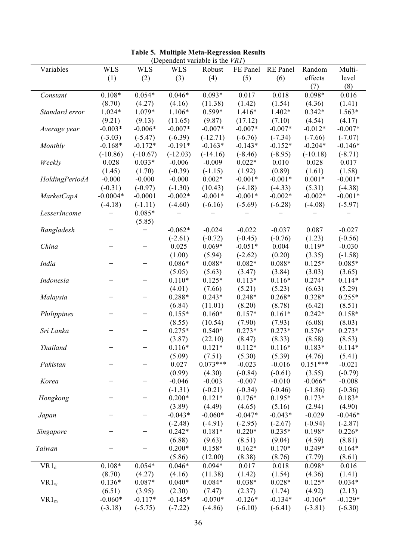|                 |            |            |            | (Dependent variable is the $VRI$ ) |           |           |            |           |
|-----------------|------------|------------|------------|------------------------------------|-----------|-----------|------------|-----------|
| Variables       | <b>WLS</b> | <b>WLS</b> | <b>WLS</b> | Robust                             | FE Panel  | RE Panel  | Random     | Multi-    |
|                 | (1)        | (2)        | (3)        | (4)                                | (5)       | (6)       | effects    | level     |
|                 |            |            |            |                                    |           |           | (7)        | (8)       |
| Constant        | $0.108*$   | $0.054*$   | $0.046*$   | $0.093*$                           | 0.017     | 0.018     | $0.098*$   | 0.016     |
|                 | (8.70)     | (4.27)     | (4.16)     | (11.38)                            | (1.42)    | (1.54)    | (4.36)     | (1.41)    |
| Standard error  | $1.024*$   | 1.079*     | $1.106*$   | 0.599*                             | $1.416*$  | 1.402*    | $0.342*$   | $1.563*$  |
|                 | (9.21)     | (9.13)     | (11.65)    | (9.87)                             | (17.12)   | (7.10)    | (4.54)     | (4.17)    |
| Average year    | $-0.003*$  | $-0.006*$  | $-0.007*$  | $-0.007*$                          | $-0.007*$ | $-0.007*$ | $-0.012*$  | $-0.007*$ |
|                 | $(-3.03)$  | $(-5.47)$  | $(-6.39)$  | $(-12.71)$                         | $(-6.76)$ | $(-7.34)$ | $(-7.66)$  | $(-7.07)$ |
| Monthly         | $-0.168*$  | $-0.172*$  | $-0.191*$  | $-0.163*$                          | $-0.143*$ | $-0.152*$ | $-0.204*$  | $-0.146*$ |
|                 | $(-10.86)$ | $(-10.67)$ | $(-12.03)$ | $(-14.16)$                         | $(-8.46)$ | $(-8.95)$ | $(-10.18)$ | $(-8.71)$ |
| Weekly          | 0.028      | $0.033*$   | $-0.006$   | $-0.009$                           | $0.022*$  | 0.010     | 0.028      | 0.017     |
|                 | (1.45)     | (1.70)     | $(-0.39)$  | $(-1.15)$                          | (1.92)    | (0.89)    | (1.61)     | (1.58)    |
| HoldingPeriodA  | $-0.000$   | $-0.000$   | $-0.000$   | $0.002*$                           | $-0.001*$ | $-0.001*$ | $0.001*$   | $-0.001*$ |
|                 | $(-0.31)$  | $(-0.97)$  | $(-1.30)$  | (10.43)                            | $(-4.18)$ | $(-4.33)$ | (5.31)     | $(-4.38)$ |
| MarketCapA      | $-0.0004*$ | $-0.0001$  | $-0.002*$  | $-0.001*$                          | $-0.001*$ | $-0.002*$ | $-0.002*$  | $-0.001*$ |
|                 | $(-4.18)$  | $(-1.11)$  | $(-4.60)$  | $(-6.16)$                          | $(-5.69)$ | $(-6.28)$ | $(-4.08)$  | $(-5.97)$ |
| LesserIncome    |            | $0.085*$   |            |                                    |           |           |            |           |
|                 |            | (5.85)     |            |                                    |           |           |            |           |
| Bangladesh      |            |            | $-0.062*$  | $-0.024$                           | $-0.022$  | $-0.037$  | 0.087      | $-0.027$  |
|                 |            |            | $(-2.61)$  | $(-0.72)$                          | $(-0.45)$ | $(-0.76)$ | (1.23)     | $(-0.56)$ |
|                 |            |            | 0.025      | $0.069*$                           | $-0.051*$ | 0.004     | $0.119*$   | $-0.030$  |
| China           |            |            |            |                                    |           |           |            |           |
|                 |            |            | (1.00)     | (5.94)                             | $(-2.62)$ | (0.20)    | (3.35)     | $(-1.58)$ |
| India           |            |            | $0.086*$   | $0.088*$                           | $0.082*$  | $0.088*$  | $0.125*$   | $0.085*$  |
|                 |            |            | (5.05)     | (5.63)                             | (3.47)    | (3.84)    | (3.03)     | (3.65)    |
| Indonesia       |            | -          | $0.110*$   | $0.125*$                           | $0.113*$  | $0.116*$  | $0.274*$   | $0.114*$  |
|                 |            |            | (4.01)     | (7.66)                             | (5.21)    | (5.23)    | (6.63)     | (5.29)    |
| Malaysia        |            | -          | 0.288*     | $0.243*$                           | $0.248*$  | $0.268*$  | $0.328*$   | $0.255*$  |
|                 |            |            | (6.84)     | (11.01)                            | (8.20)    | (8.78)    | (6.42)     | (8.51)    |
| Philippines     |            | -          | $0.155*$   | $0.160*$                           | $0.157*$  | $0.161*$  | $0.242*$   | $0.158*$  |
|                 |            |            | (8.55)     | (10.54)                            | (7.90)    | (7.93)    | (6.08)     | (8.03)    |
| Sri Lanka       |            | -          | $0.275*$   | $0.540*$                           | $0.273*$  | $0.273*$  | $0.576*$   | $0.273*$  |
|                 |            |            | (3.87)     | (22.10)                            | (8.47)    | (8.33)    | (8.58)     | (8.53)    |
| <b>Thailand</b> |            | -          | $0.116*$   | $0.121*$                           | $0.112*$  | $0.116*$  | $0.183*$   | $0.114*$  |
|                 |            |            | (5.09)     | (7.51)                             | (5.30)    | (5.39)    | (4.76)     | (5.41)    |
| Pakistan        |            |            | 0.027      | $0.073***$                         | $-0.023$  | $-0.016$  | $0.151***$ | $-0.021$  |
|                 |            |            | (0.99)     | (4.30)                             | $(-0.84)$ | $(-0.61)$ | (3.55)     | $(-0.79)$ |
| Korea           |            |            | $-0.046$   | $-0.003$                           | $-0.007$  | $-0.010$  | $-0.066*$  | $-0.008$  |
|                 |            |            | $(-1.31)$  | $(-0.21)$                          | $(-0.34)$ | $(-0.46)$ | $(-1.86)$  | $(-0.36)$ |
| Hongkong        |            | —          | $0.200*$   | $0.121*$                           | $0.176*$  | $0.195*$  | $0.173*$   | $0.183*$  |
|                 |            |            | (3.89)     | (4.49)                             | (4.65)    | (5.16)    | (2.94)     | (4.90)    |
| Japan           |            |            | $-0.043*$  | $-0.060*$                          | $-0.047*$ | $-0.043*$ | $-0.029$   | $-0.046*$ |
|                 |            |            | $(-2.48)$  | $(-4.91)$                          | $(-2.95)$ | $(-2.67)$ | $(-0.94)$  | $(-2.87)$ |
| Singapore       |            | -          | $0.242*$   | $0.181*$                           | $0.220*$  | $0.235*$  | 0.198*     | $0.226*$  |
|                 |            |            | (6.88)     | (9.63)                             | (8.51)    | (9.04)    | (4.59)     | (8.81)    |
| Taiwan          |            |            | $0.200*$   | $0.158*$                           | $0.162*$  | $0.170*$  | $0.249*$   | $0.164*$  |
|                 |            |            | (5.86)     | (12.00)                            | (8.38)    | (8.76)    | (7.79)     | (8.61)    |
| $VR1_d$         | $0.108*$   | $0.054*$   | $0.046*$   | $0.094*$                           | 0.017     | 0.018     | $0.098*$   | 0.016     |
|                 | (8.70)     | (4.27)     | (4.16)     | (11.38)                            | (1.42)    | (1.54)    | (4.36)     | (1.41)    |
| $VR1_w$         | $0.136*$   | $0.087*$   | $0.040*$   | $0.084*$                           | $0.038*$  | $0.028*$  | $0.125*$   | $0.034*$  |
|                 | (6.51)     | (3.95)     | (2.30)     | (7.47)                             | (2.37)    | (1.74)    | (4.92)     | (2.13)    |
| $VR1_m$         | $-0.060*$  | $-0.117*$  | $-0.145*$  | $-0.070*$                          | $-0.126*$ | $-0.134*$ | $-0.106*$  | $-0.129*$ |
|                 | $(-3.18)$  | $(-5.75)$  | $(-7.22)$  | $(-4.86)$                          | $(-6.10)$ | $(-6.41)$ | $(-3.81)$  | $(-6.30)$ |

**Table 5. Multiple Meta-Regression Results**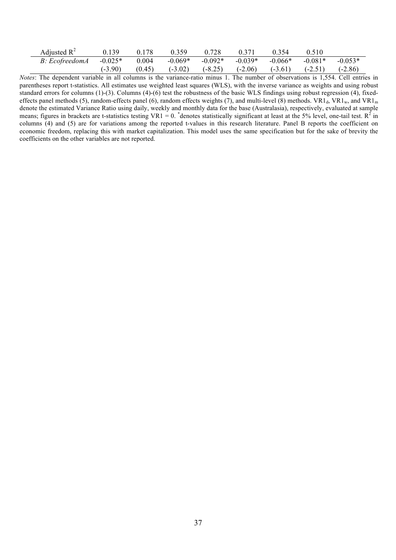| Adjusted $\mathbb{R}^2$ | 0.139     | 0.178  | 0.359     | 0.728     | 0.371     | 0.354     | 0.510     |           |
|-------------------------|-----------|--------|-----------|-----------|-----------|-----------|-----------|-----------|
| B: EcofreedomA          | $-0.025*$ | 0.004  | $-0.069*$ | $-0.092*$ | $-0.039*$ | $-0.066*$ | $-0.081*$ | $-0.053*$ |
|                         | $(-3.90)$ | (0.45) | $(-3.02)$ | $(-8.25)$ | $(-2.06)$ | $(-3.61)$ | $(-2.51)$ | $(-2.86)$ |

*Notes*: The dependent variable in all columns is the variance-ratio minus 1. The number of observations is 1,554. Cell entries in parentheses report t-statistics. All estimates use weighted least squares (WLS), with the inverse variance as weights and using robust standard errors for columns (1)-(3). Columns (4)-(6) test the robustness of the basic WLS findings using robust regression (4), fixedeffects panel methods (5), random-effects panel (6), random effects weights (7), and multi-level (8) methods. VR1<sub>d</sub>, VR1<sub>w</sub>, and VR1<sub>m</sub> denote the estimated Variance Ratio using daily, weekly and monthly data for the base (Australasia), respectively, evaluated at sample means; figures in brackets are t-statistics testing VR1 = 0.  $\text{*}$  denotes statistically significant at least at the 5% level, one-tail test.  $R^2$  in columns (4) and (5) are for variations among the reported t-values in this research literature. Panel B reports the coefficient on economic freedom, replacing this with market capitalization. This model uses the same specification but for the sake of brevity the coefficients on the other variables are not reported.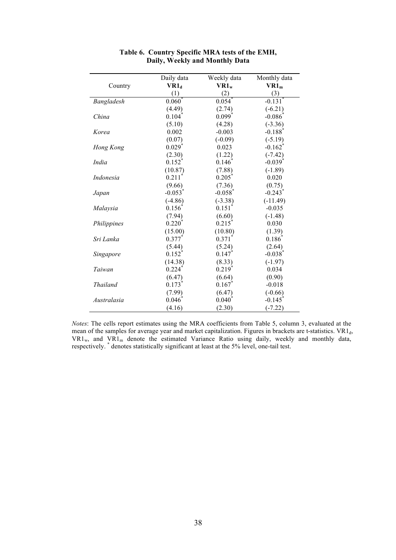|                 | Daily data            | Weekly data           | Monthly data          |
|-----------------|-----------------------|-----------------------|-----------------------|
| Country         | $VR1_d$               | $VR1_w$               | $VR1_m$               |
|                 | (1)                   | (2)                   | (3)                   |
| Bangladesh      | 0.060                 | $0.054^{\degree}$     | $-0.131$              |
|                 | (4.49)                | (2.74)                | $(-6.21)$             |
| China           | 0.104                 | $0.099$ <sup>*</sup>  | $-0.086$              |
|                 | (5.10)                | (4.28)                | $(-3.36)$             |
| Korea           | 0.002                 | $-0.003$              | $-0.188$ <sup>*</sup> |
|                 | (0.07)                | $(-0.09)$             | $(-5.19)$             |
| Hong Kong       | $0.029^{*}$           | 0.023                 | $-0.162$ <sup>*</sup> |
|                 | (2.30)                | (1.22)                | $(-7.42)$             |
| India           | $0.152^*$             | $0.146^{\degree}$     | $-0.039$ <sup>*</sup> |
|                 | (10.87)               | (7.88)                | $(-1.89)$             |
| Indonesia       | 0.211                 | 0.205                 | 0.020                 |
|                 | (9.66)                | (7.36)                | (0.75)                |
| Japan           | $-0.053$ <sup>*</sup> | $-0.058$ <sup>*</sup> | $-0.243$ <sup>*</sup> |
|                 | $(-4.86)$             | $(-3.38)$             | $(-11.49)$            |
| Malaysia        | 0.156                 | 0.151                 | $-0.035$              |
|                 | (7.94)                | (6.60)                | $(-1.48)$             |
| Philippines     | $0.220^{\degree}$     | $0.215*$              | 0.030                 |
|                 | (15.00)               | (10.80)               | (1.39)                |
| Sri Lanka       | $0.377$ <sup>*</sup>  | 0.371                 | 0.186                 |
|                 | (5.44)                | (5.24)                | (2.64)                |
| Singapore       | $0.152$ <sup>*</sup>  | 0.147                 | $-0.038$ <sup>*</sup> |
|                 | (14.38)               | (8.33)                | $(-1.97)$             |
| Taiwan          | 0.224                 | $0.219$ <sup>*</sup>  | 0.034                 |
|                 | (6.47)                | (6.64)                | (0.90)                |
| <b>Thailand</b> | $0.173*$              | $0.167^*$             | $-0.018$              |
|                 | (7.99)                | (6.47)                | $(-0.66)$             |
| Australasia     | 0.046                 | 0.040                 | $-0.145$              |
|                 | (4.16)                | (2.30)                | $(-7.22)$             |

#### **Table 6. Country Specific MRA tests of the EMH, Daily, Weekly and Monthly Data**

*Notes*: The cells report estimates using the MRA coefficients from Table 5, column 3, evaluated at the mean of the samples for average year and market capitalization. Figures in brackets are t-statistics.  $VRI_d$ ,  $VRI_w$ , and  $VRI_m$  denote the estimated Variance Ratio using daily, weekly and monthly data, respectively. **\*** denotes statistically significant at least at the 5% level, one-tail test.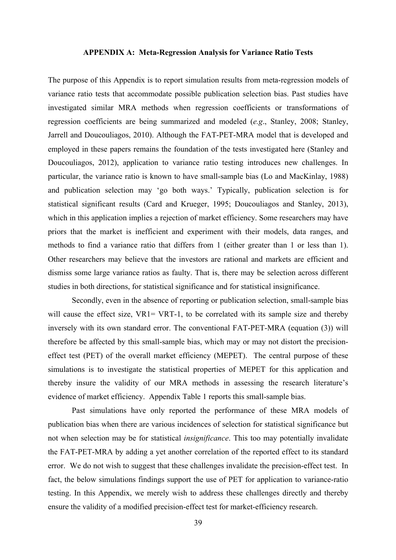#### **APPENDIX A: Meta-Regression Analysis for Variance Ratio Tests**

The purpose of this Appendix is to report simulation results from meta-regression models of variance ratio tests that accommodate possible publication selection bias. Past studies have investigated similar MRA methods when regression coefficients or transformations of regression coefficients are being summarized and modeled (*e.g*., Stanley, 2008; Stanley, Jarrell and Doucouliagos, 2010). Although the FAT-PET-MRA model that is developed and employed in these papers remains the foundation of the tests investigated here (Stanley and Doucouliagos, 2012), application to variance ratio testing introduces new challenges. In particular, the variance ratio is known to have small-sample bias (Lo and MacKinlay, 1988) and publication selection may 'go both ways.' Typically, publication selection is for statistical significant results (Card and Krueger, 1995; Doucouliagos and Stanley, 2013), which in this application implies a rejection of market efficiency. Some researchers may have priors that the market is inefficient and experiment with their models, data ranges, and methods to find a variance ratio that differs from 1 (either greater than 1 or less than 1). Other researchers may believe that the investors are rational and markets are efficient and dismiss some large variance ratios as faulty. That is, there may be selection across different studies in both directions, for statistical significance and for statistical insignificance.

Secondly, even in the absence of reporting or publication selection, small-sample bias will cause the effect size, VR1= VRT-1, to be correlated with its sample size and thereby inversely with its own standard error. The conventional FAT-PET-MRA (equation (3)) will therefore be affected by this small-sample bias, which may or may not distort the precisioneffect test (PET) of the overall market efficiency (MEPET). The central purpose of these simulations is to investigate the statistical properties of MEPET for this application and thereby insure the validity of our MRA methods in assessing the research literature's evidence of market efficiency. Appendix Table 1 reports this small-sample bias.

Past simulations have only reported the performance of these MRA models of publication bias when there are various incidences of selection for statistical significance but not when selection may be for statistical *insignificance*. This too may potentially invalidate the FAT-PET-MRA by adding a yet another correlation of the reported effect to its standard error. We do not wish to suggest that these challenges invalidate the precision-effect test. In fact, the below simulations findings support the use of PET for application to variance-ratio testing. In this Appendix, we merely wish to address these challenges directly and thereby ensure the validity of a modified precision-effect test for market-efficiency research.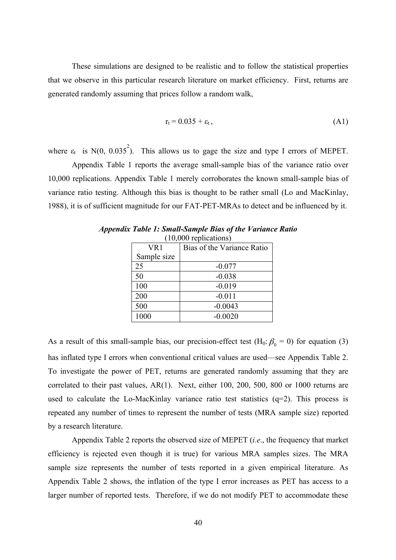These simulations are designed to be realistic and to follow the statistical properties that we observe in this particular research literature on market efficiency. First, returns are generated randomly assuming that prices follow a random walk,

$$
r_t = 0.035 + \varepsilon_t, \tag{A1}
$$

where  $\varepsilon_t$  is N(0, 0.035<sup>2</sup>). This allows us to gage the size and type I errors of MEPET.

Appendix Table 1 reports the average small-sample bias of the variance ratio over 10,000 replications. Appendix Table 1 merely corroborates the known small-sample bias of variance ratio testing. Although this bias is thought to be rather small (Lo and MacKinlay, 1988), it is of sufficient magnitude for our FAT-PET-MRAs to detect and be influenced by it.

| $\left[10,000\right]$ reprivations) |                            |  |  |  |  |
|-------------------------------------|----------------------------|--|--|--|--|
| VR1                                 | Bias of the Variance Ratio |  |  |  |  |
| Sample size                         |                            |  |  |  |  |
| 25                                  | $-0.077$                   |  |  |  |  |
| 50                                  | $-0.038$                   |  |  |  |  |
| 100                                 | $-0.019$                   |  |  |  |  |
| 200                                 | $-0.011$                   |  |  |  |  |
| 500                                 | $-0.0043$                  |  |  |  |  |
| 1000                                | $-0.0020$                  |  |  |  |  |

*Appendix Table 1: Small-Sample Bias of the Variance Ratio* (10,000 replications)

As a result of this small-sample bias, our precision-effect test  $(H_0: \beta_0 = 0)$  for equation (3) has inflated type I errors when conventional critical values are used—see Appendix Table 2. To investigate the power of PET, returns are generated randomly assuming that they are correlated to their past values, AR(1). Next, either 100, 200, 500, 800 or 1000 returns are used to calculate the Lo-MacKinlay variance ratio test statistics  $(q=2)$ . This process is repeated any number of times to represent the number of tests (MRA sample size) reported by a research literature.

Appendix Table 2 reports the observed size of MEPET (*i.e*., the frequency that market efficiency is rejected even though it is true) for various MRA samples sizes. The MRA sample size represents the number of tests reported in a given empirical literature. As Appendix Table 2 shows, the inflation of the type I error increases as PET has access to a larger number of reported tests. Therefore, if we do not modify PET to accommodate these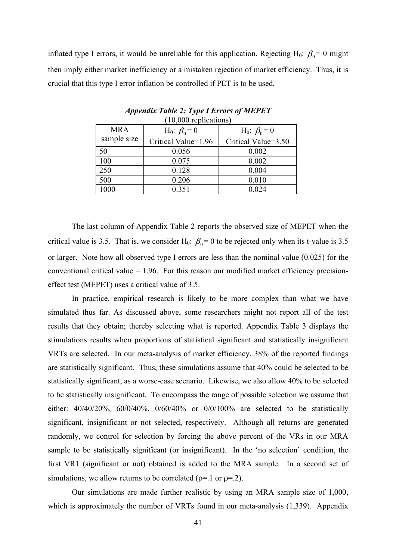inflated type I errors, it would be unreliable for this application. Rejecting H<sub>0</sub>:  $\beta_0 = 0$  might then imply either market inefficiency or a mistaken rejection of market efficiency. Thus, it is crucial that this type I error inflation be controlled if PET is to be used.

|             | $10,000$ Tephendrons           |                                |
|-------------|--------------------------------|--------------------------------|
| <b>MRA</b>  | H <sub>0</sub> : $\beta_0 = 0$ | H <sub>0</sub> : $\beta_0 = 0$ |
| sample size | Critical Value=1.96            | Critical Value=3.50            |
| 50          | 0.056                          | 0.002                          |
| 100         | 0.075                          | 0.002                          |
| 250         | 0.128                          | 0.004                          |
| 500         | 0.206                          | 0.010                          |
| 1000        | 0.351                          | 0.024                          |

*Appendix Table 2: Type I Errors of MEPET*  (10,000 replications)

The last column of Appendix Table 2 reports the observed size of MEPET when the critical value is 3.5. That is, we consider H<sub>0</sub>:  $\beta_0 = 0$  to be rejected only when its t-value is 3.5 or larger. Note how all observed type I errors are less than the nominal value (0.025) for the conventional critical value  $= 1.96$ . For this reason our modified market efficiency precisioneffect test (MEPET) uses a critical value of 3.5.

In practice, empirical research is likely to be more complex than what we have simulated thus far. As discussed above, some researchers might not report all of the test results that they obtain; thereby selecting what is reported. Appendix Table 3 displays the stimulations results when proportions of statistical significant and statistically insignificant VRTs are selected. In our meta-analysis of market efficiency, 38% of the reported findings are statistically significant. Thus, these simulations assume that 40% could be selected to be statistically significant, as a worse-case scenario. Likewise, we also allow 40% to be selected to be statistically insignificant. To encompass the range of possible selection we assume that either: 40/40/20%, 60/0/40%, 0/60/40% or 0/0/100% are selected to be statistically significant, insignificant or not selected, respectively. Although all returns are generated randomly, we control for selection by forcing the above percent of the VRs in our MRA sample to be statistically significant (or insignificant). In the 'no selection' condition, the first VR1 (significant or not) obtained is added to the MRA sample. In a second set of simulations, we allow returns to be correlated ( $\rho$ =.1 or  $\rho$ =.2).

Our simulations are made further realistic by using an MRA sample size of 1,000, which is approximately the number of VRTs found in our meta-analysis (1,339). Appendix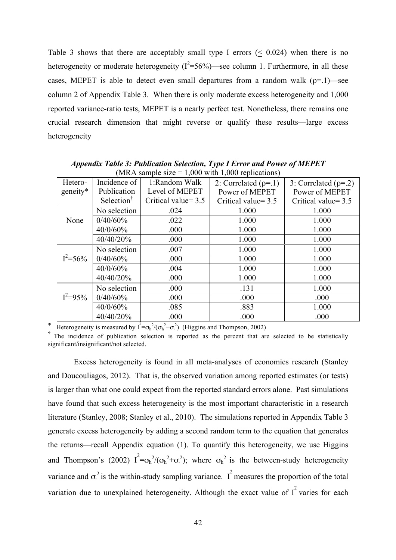Table 3 shows that there are acceptably small type I errors  $(0.024)$  when there is no heterogeneity or moderate heterogeneity  $(I^2=56\%)$  see column 1. Furthermore, in all these cases, MEPET is able to detect even small departures from a random walk  $(\rho = 1)$ —see column 2 of Appendix Table 3. When there is only moderate excess heterogeneity and 1,000 reported variance-ratio tests, MEPET is a nearly perfect test. Nonetheless, there remains one crucial research dimension that might reverse or qualify these results—large excess heterogeneity

| (MRA sample size $= 1,000$ with 1,000 replications) |                        |                       |                          |                       |
|-----------------------------------------------------|------------------------|-----------------------|--------------------------|-----------------------|
| Hetero-                                             | Incidence of           | 1:Random Walk         | 2: Correlated $(\rho=1)$ | 3: Correlated $(p=2)$ |
| geneity*                                            | Publication            | Level of MEPET        | Power of MEPET           | Power of MEPET        |
|                                                     | Selection <sup>†</sup> | Critical value= $3.5$ | Critical value= $3.5$    | Critical value= 3.5   |
|                                                     | No selection           | .024                  | 1.000                    | 1.000                 |
| None                                                | 0/40/60%               | .022                  | 1.000                    | 1.000                 |
|                                                     | 40/0/60%               | .000                  | 1.000                    | 1.000                 |
|                                                     | 40/40/20%              | .000                  | 1.000                    | 1.000                 |
|                                                     | No selection           | .007                  | 1.000                    | 1.000                 |
| $I^2 = 56\%$                                        | 0/40/60%               | .000                  | 1.000                    | 1.000                 |
|                                                     | $40/0/60\%$            | .004                  | 1.000                    | 1.000                 |
|                                                     | 40/40/20%              | .000                  | 1.000                    | 1.000                 |
|                                                     | No selection           | .000                  | .131                     | 1.000                 |
| $I^2 = 95\%$                                        | 0/40/60%               | .000                  | .000                     | .000                  |
|                                                     | 40/0/60%               | .085                  | .883                     | 1.000                 |
|                                                     | 40/40/20%              | .000                  | .000                     | .000                  |

*Appendix Table 3: Publication Selection, Type I Error and Power of MEPET* 

<sup>\*</sup> Heterogeneity is measured by  $I^2 = \sigma_h^2/(\sigma_h^2 + \sigma_c^2)$  (Higgins and Thompson, 2002)

 $\ddot{\phantom{a}^{\dagger}}$  The incidence of publication selection is reported as the percent that are selected to be statistically significant/insignificant/not selected.

Excess heterogeneity is found in all meta-analyses of economics research (Stanley and Doucouliagos, 2012). That is, the observed variation among reported estimates (or tests) is larger than what one could expect from the reported standard errors alone. Past simulations have found that such excess heterogeneity is the most important characteristic in a research literature (Stanley, 2008; Stanley et al., 2010). The simulations reported in Appendix Table 3 generate excess heterogeneity by adding a second random term to the equation that generates the returns—recall Appendix equation (1). To quantify this heterogeneity, we use Higgins and Thompson's (2002)  $I^2 = \sigma_h^2/(\sigma_h^2 + \sigma_c^2)$ ; where  $\sigma_h^2$  is the between-study heterogeneity variance and  $\sigma^2$  is the within-study sampling variance. I<sup>2</sup> measures the proportion of the total variation due to unexplained heterogeneity. Although the exact value of  $I^2$  varies for each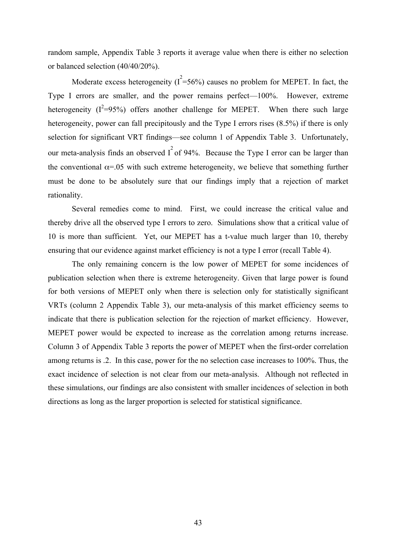random sample, Appendix Table 3 reports it average value when there is either no selection or balanced selection (40/40/20%).

Moderate excess heterogeneity ( $I^2$ =56%) causes no problem for MEPET. In fact, the Type I errors are smaller, and the power remains perfect—100%. However, extreme heterogeneity ( $I^2=95\%$ ) offers another challenge for MEPET. When there such large heterogeneity, power can fall precipitously and the Type I errors rises  $(8.5\%)$  if there is only selection for significant VRT findings—see column 1 of Appendix Table 3. Unfortunately, our meta-analysis finds an observed  $I^2$  of 94%. Because the Type I error can be larger than the conventional  $\alpha$ =.05 with such extreme heterogeneity, we believe that something further must be done to be absolutely sure that our findings imply that a rejection of market rationality.

Several remedies come to mind. First, we could increase the critical value and thereby drive all the observed type I errors to zero. Simulations show that a critical value of 10 is more than sufficient. Yet, our MEPET has a t-value much larger than 10, thereby ensuring that our evidence against market efficiency is not a type I error (recall Table 4).

The only remaining concern is the low power of MEPET for some incidences of publication selection when there is extreme heterogeneity. Given that large power is found for both versions of MEPET only when there is selection only for statistically significant VRTs (column 2 Appendix Table 3), our meta-analysis of this market efficiency seems to indicate that there is publication selection for the rejection of market efficiency. However, MEPET power would be expected to increase as the correlation among returns increase. Column 3 of Appendix Table 3 reports the power of MEPET when the first-order correlation among returns is .2. In this case, power for the no selection case increases to 100%. Thus, the exact incidence of selection is not clear from our meta-analysis. Although not reflected in these simulations, our findings are also consistent with smaller incidences of selection in both directions as long as the larger proportion is selected for statistical significance.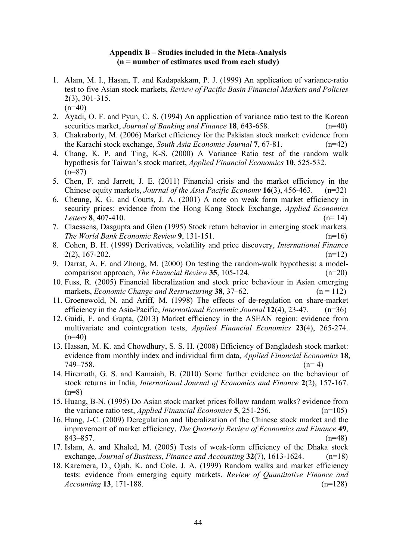#### **Appendix B – Studies included in the Meta-Analysis (n = number of estimates used from each study)**

- 1. Alam, M. I., Hasan, T. and Kadapakkam, P. J. (1999) An application of variance-ratio test to five Asian stock markets, *Review of Pacific Basin Financial Markets and Policies* **2**(3), 301-315.  $(n=40)$
- 2. Ayadi, O. F. and Pyun, C. S. (1994) An application of variance ratio test to the Korean securities market, *Journal of Banking and Finance* **18**, 643-658. (n=40)
- 3. Chakraborty, M. (2006) Market efficiency for the Pakistan stock market: evidence from the Karachi stock exchange, *South Asia Economic Journal* **7**, 67-81. (n=42)
- 4. Chang, K. P. and Ting, K-S. (2000) A Variance Ratio test of the random walk hypothesis for Taiwan's stock market, *Applied Financial Economics* **10**, 525-532.  $(n=87)$
- 5. Chen, F. and Jarrett, J. E. (2011) Financial crisis and the market efficiency in the Chinese equity markets, *Journal of the Asia Pacific Economy* **16**(3), 456-463. (n=32)
- 6. Cheung, K. G. and Coutts, J. A. (2001) A note on weak form market efficiency in security prices: evidence from the Hong Kong Stock Exchange, *Applied Economics Letters* **8**, 407-410. (n= 14)
- 7. Claessens, Dasgupta and Glen (1995) Stock return behavior in emerging stock markets*, The World Bank Economic Review* **9**, 131-151. (n=16)
- 8. Cohen, B. H. (1999) Derivatives, volatility and price discovery, *International Finance*  $2(2), 167-202.$  (n=12)
- 9. Darrat, A. F. and Zhong, M. (2000) On testing the random-walk hypothesis: a modelcomparison approach, *The Financial Review* **35**, 105-124. (n=20)
- 10. Fuss, R. (2005) Financial liberalization and stock price behaviour in Asian emerging markets, *Economic Change and Restructuring* 38, 37–62. (n = 112)
- 11. Groenewold, N. and Ariff, M. (1998) The effects of de-regulation on share-market efficiency in the Asia-Pacific, *International Economic Journal* **12**(4), 23-47. (n=36)
- 12. Guidi, F. and Gupta, (2013) Market efficiency in the ASEAN region: evidence from multivariate and cointegration tests, *Applied Financial Economics* **23**(4), 265-274.  $(n=40)$
- 13. Hassan, M. K. and Chowdhury, S. S. H. (2008) Efficiency of Bangladesh stock market: evidence from monthly index and individual firm data, *Applied Financial Economics* **18**,  $749-758.$  (n= 4)
- 14. Hiremath, G. S. and Kamaiah, B. (2010) Some further evidence on the behaviour of stock returns in India, *International Journal of Economics and Finance* **2**(2), 157-167.  $(n=8)$
- 15. Huang, B-N. (1995) Do Asian stock market prices follow random walks? evidence from the variance ratio test, *Applied Financial Economics* **5**, 251-256. (n=105)
- 16. Hung, J-C. (2009) Deregulation and liberalization of the Chinese stock market and the improvement of market efficiency, *The Quarterly Review of Economics and Finance* **49**, 843–857. (n=48)
- 17. Islam, A. and Khaled, M. (2005) Tests of weak-form efficiency of the Dhaka stock exchange, *Journal of Business, Finance and Accounting* **32**(7), 1613-1624. (n=18)
- 18. Karemera, D., Ojah, K. and Cole, J. A. (1999) Random walks and market efficiency tests: evidence from emerging equity markets. *Review of Quantitative Finance and Accounting* **13**, 171-188. (n=128)